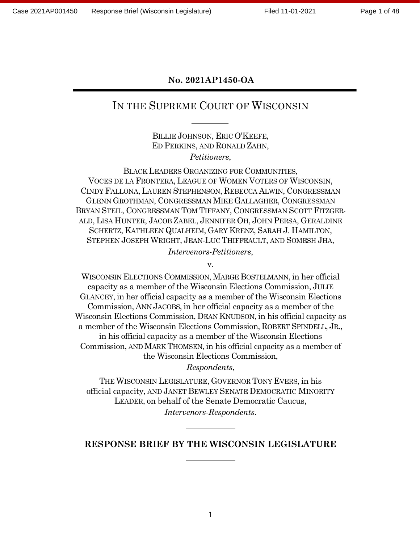#### **No. 2021AP1450-OA**

# IN THE SUPREME COURT OF WISCONSIN

BILLIE JOHNSON, ERIC O'KEEFE, ED PERKINS, AND RONALD ZAHN, *Petitioners*,

BLACK LEADERS ORGANIZING FOR COMMUNITIES, VOCES DE LA FRONTERA, LEAGUE OF WOMEN VOTERS OF WISCONSIN, CINDY FALLONA, LAUREN STEPHENSON, REBECCA ALWIN, CONGRESSMAN GLENN GROTHMAN, CONGRESSMAN MIKE GALLAGHER, CONGRESSMAN BRYAN STEIL, CONGRESSMAN TOM TIFFANY, CONGRESSMAN SCOTT FITZGER-ALD, LISA HUNTER, JACOB ZABEL, JENNIFER OH, JOHN PERSA, GERALDINE SCHERTZ, KATHLEEN QUALHEIM, GARY KRENZ, SARAH J. HAMILTON, STEPHEN JOSEPH WRIGHT, JEAN-LUC THIFFEAULT, AND SOMESH JHA, *Intervenors-Petitioners*,

v.

WISCONSIN ELECTIONS COMMISSION, MARGE BOSTELMANN, in her official capacity as a member of the Wisconsin Elections Commission, JULIE GLANCEY, in her official capacity as a member of the Wisconsin Elections Commission, ANN JACOBS, in her official capacity as a member of the Wisconsin Elections Commission, DEAN KNUDSON, in his official capacity as a member of the Wisconsin Elections Commission, ROBERT SPINDELL, JR., in his official capacity as a member of the Wisconsin Elections Commission, AND MARK THOMSEN, in his official capacity as a member of the Wisconsin Elections Commission,

*Respondents*,

THE WISCONSIN LEGISLATURE, GOVERNOR TONY EVERS, in his official capacity, AND JANET BEWLEY SENATE DEMOCRATIC MINORITY LEADER, on behalf of the Senate Democratic Caucus, *Intervenors-Respondents*.

#### **RESPONSE BRIEF BY THE WISCONSIN LEGISLATURE**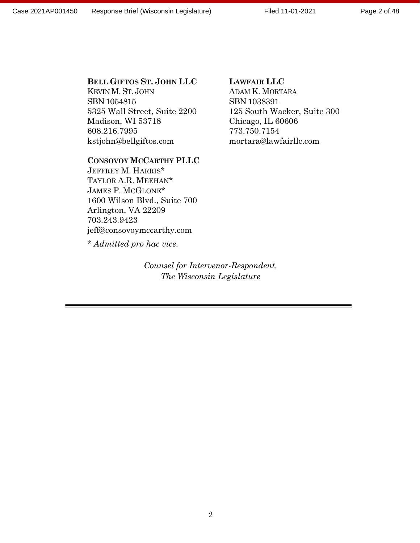#### **BELL GIFTOS ST. JOHN LLC**

KEVIN M.ST. JOHN SBN 1054815 5325 Wall Street, Suite 2200 Madison, WI 53718 608.216.7995 kstjohn@bellgiftos.com

#### **CONSOVOY MCCARTHY PLLC**

JEFFREY M. HARRIS\* TAYLOR A.R. MEEHAN\* JAMES P. MCGLONE\* 1600 Wilson Blvd., Suite 700 Arlington, VA 22209 703.243.9423 jeff@consovoymccarthy.com

\* *Admitted pro hac vice.*

*Counsel for Intervenor-Respondent, The Wisconsin Legislature*

#### **LAWFAIR LLC**

ADAM K. MORTARA SBN 1038391 125 South Wacker, Suite 300 Chicago, IL 60606 773.750.7154 mortara@lawfairllc.com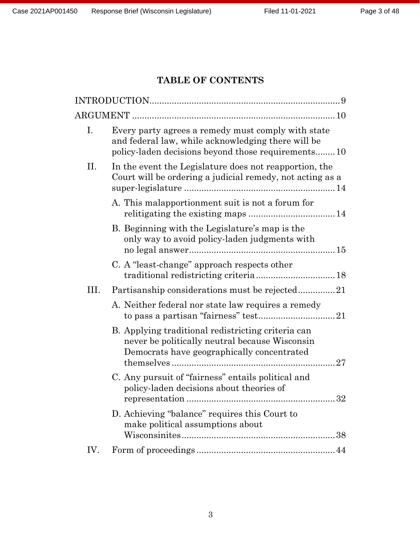# **TABLE OF CONTENTS**

| I.   | Every party agrees a remedy must comply with state<br>and federal law, while acknowledging there will be<br>policy-laden decisions beyond those requirements10 |
|------|----------------------------------------------------------------------------------------------------------------------------------------------------------------|
| Π.   | In the event the Legislature does not reapportion, the<br>Court will be ordering a judicial remedy, not acting as a                                            |
|      | A. This malapportionment suit is not a forum for                                                                                                               |
|      | B. Beginning with the Legislature's map is the<br>only way to avoid policy-laden judgments with                                                                |
|      | C. A "least-change" approach respects other                                                                                                                    |
| III. | Partisanship considerations must be rejected21                                                                                                                 |
|      | A. Neither federal nor state law requires a remedy                                                                                                             |
|      | B. Applying traditional redistricting criteria can<br>never be politically neutral because Wisconsin<br>Democrats have geographically concentrated             |
|      | C. Any pursuit of "fairness" entails political and<br>policy-laden decisions about theories of                                                                 |
|      | D. Achieving "balance" requires this Court to<br>make political assumptions about                                                                              |
| IV.  |                                                                                                                                                                |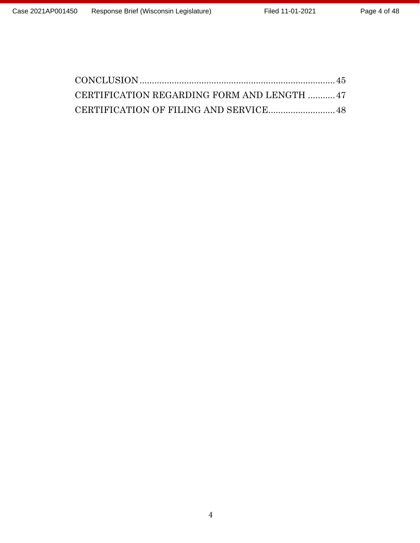| CERTIFICATION REGARDING FORM AND LENGTH 47 |  |
|--------------------------------------------|--|
|                                            |  |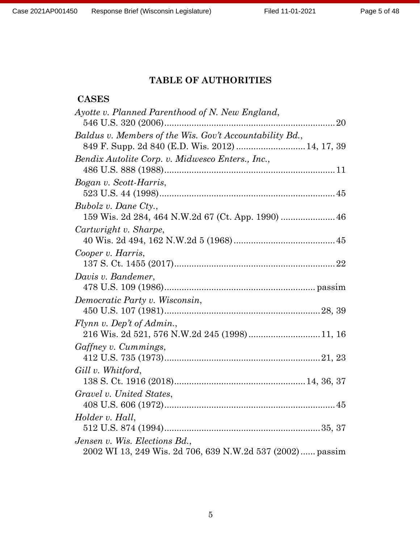# **TABLE OF AUTHORITIES**

# **CASES**

| Ayotte v. Planned Parenthood of N. New England,                                                             |
|-------------------------------------------------------------------------------------------------------------|
| Baldus v. Members of the Wis. Gov't Accountability Bd.,<br>849 F. Supp. 2d 840 (E.D. Wis. 2012)  14, 17, 39 |
| Bendix Autolite Corp. v. Midwesco Enters., Inc.,                                                            |
| Bogan v. Scott-Harris,                                                                                      |
| Bubolz v. Dane Cty.,                                                                                        |
| Cartwright v. Sharpe,                                                                                       |
| Cooper v. Harris,                                                                                           |
| Davis v. Bandemer,                                                                                          |
| Democratic Party v. Wisconsin,                                                                              |
| Flynn v. Dep't of Admin.,<br>216 Wis. 2d 521, 576 N.W.2d 245 (1998) 11, 16                                  |
| Gaffney v. Cummings,                                                                                        |
| Gill v. Whitford,                                                                                           |
| Gravel v. United States,                                                                                    |
| Holder v. Hall,                                                                                             |
| Jensen v. Wis. Elections Bd.,<br>2002 WI 13, 249 Wis. 2d 706, 639 N.W.2d 537 (2002) passim                  |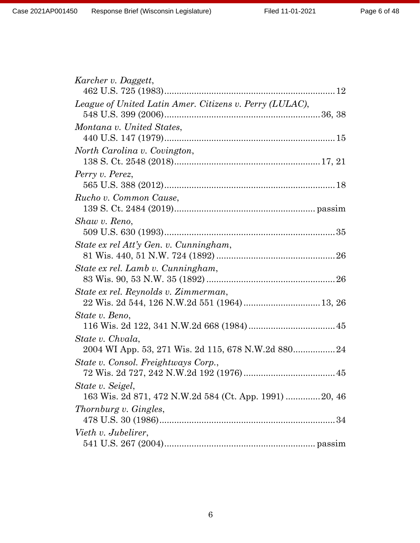| Karcher v. Daggett,                                                                  |
|--------------------------------------------------------------------------------------|
| League of United Latin Amer. Citizens v. Perry (LULAC),                              |
| Montana v. United States,                                                            |
| North Carolina v. Covington,                                                         |
| Perry v. Perez,                                                                      |
| Rucho v. Common Cause,                                                               |
| Shaw v. Reno,                                                                        |
| State ex rel Att'y Gen. v. Cunningham,                                               |
| State ex rel. Lamb v. Cunningham,                                                    |
| State ex rel. Reynolds v. Zimmerman,<br>22 Wis. 2d 544, 126 N.W.2d 551 (1964) 13, 26 |
| State v. Beno,                                                                       |
| State v. Chvala,<br>2004 WI App. 53, 271 Wis. 2d 115, 678 N.W.2d 880 24              |
| State v. Consol. Freightways Corp.,                                                  |
| State v. Seigel,<br>163 Wis. 2d 871, 472 N.W.2d 584 (Ct. App. 1991) 20, 46           |
| Thornburg v. Gingles,                                                                |
| Vieth v. Jubelirer,                                                                  |
|                                                                                      |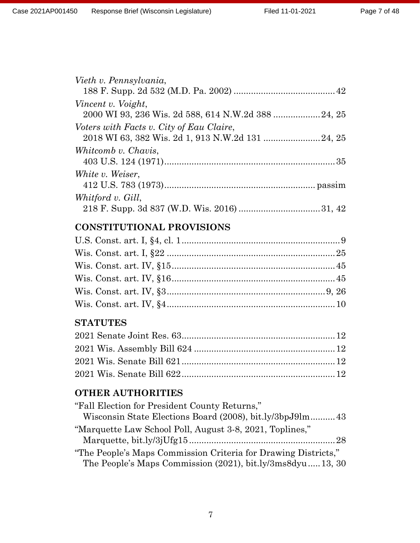| Vieth v. Pennsylvania,                   |
|------------------------------------------|
|                                          |
| Vincent v. Voight,                       |
|                                          |
| Voters with Facts v. City of Eau Claire, |
|                                          |
| Whitcomb v. Chavis,                      |
|                                          |
| White v. Weiser,                         |
|                                          |
| Whitford v. Gill,                        |
|                                          |
|                                          |

# **CONSTITUTIONAL PROVISIONS**

# **STATUTES**

# **OTHER AUTHORITIES**

| "Fall Election for President County Returns,"                  |  |
|----------------------------------------------------------------|--|
| Wisconsin State Elections Board (2008), bit.ly/3bpJ9lm43       |  |
| "Marquette Law School Poll, August 3-8, 2021, Toplines,"       |  |
|                                                                |  |
| "The People's Maps Commission Criteria for Drawing Districts," |  |
| The People's Maps Commission (2021), bit.ly/3ms8dyu  13, 30    |  |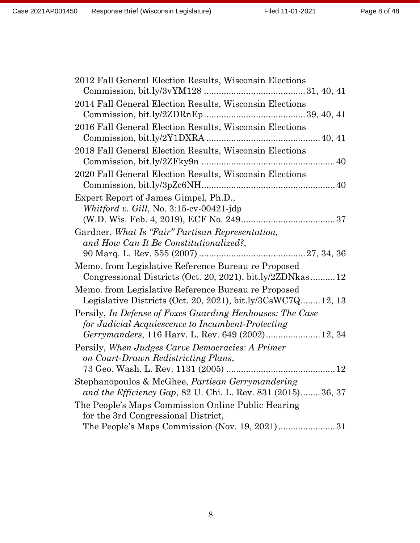| 2012 Fall General Election Results, Wisconsin Elections         |
|-----------------------------------------------------------------|
|                                                                 |
| 2014 Fall General Election Results, Wisconsin Elections         |
|                                                                 |
| 2016 Fall General Election Results, Wisconsin Elections         |
|                                                                 |
| 2018 Fall General Election Results, Wisconsin Elections         |
|                                                                 |
| 2020 Fall General Election Results, Wisconsin Elections         |
|                                                                 |
| Expert Report of James Gimpel, Ph.D.,                           |
| Whitford v. Gill, No. $3:15$ -cv-00421-jdp                      |
|                                                                 |
| Gardner, What Is "Fair" Partisan Representation,                |
| and How Can It Be Constitutionalized?,                          |
|                                                                 |
| Memo. from Legislative Reference Bureau re Proposed             |
| Congressional Districts (Oct. 20, 2021), bit.ly/2ZDNkas12       |
| Memo. from Legislative Reference Bureau re Proposed             |
| Legislative Districts (Oct. 20, 2021), bit.ly/ $3CsWC7Q$ 12, 13 |
| Persily, In Defense of Foxes Guarding Henhouses: The Case       |
| for Judicial Acquiescence to Incumbent-Protecting               |
| Gerrymanders, 116 Harv. L. Rev. 649 (2002) 12, 34               |
| Persily, When Judges Carve Democracies: A Primer                |
| on Court-Drawn Redistricting Plans,                             |
|                                                                 |
| Stephanopoulos & McGhee, Partisan Gerrymandering                |
| and the Efficiency Gap, 82 U. Chi. L. Rev. 831 (2015)36, 37     |
| The People's Maps Commission Online Public Hearing              |
| for the 3rd Congressional District,                             |
| The People's Maps Commission (Nov. 19, 2021)31                  |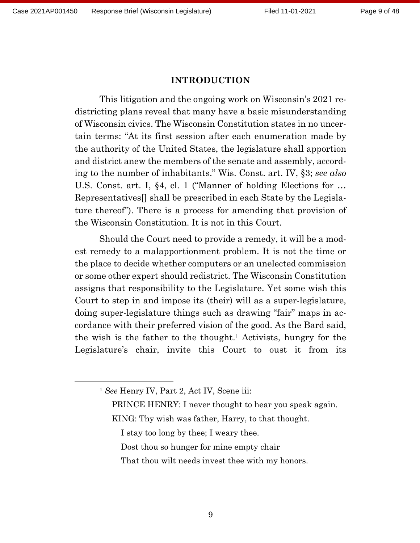### **INTRODUCTION**

This litigation and the ongoing work on Wisconsin's 2021 redistricting plans reveal that many have a basic misunderstanding of Wisconsin civics. The Wisconsin Constitution states in no uncertain terms: "At its first session after each enumeration made by the authority of the United States, the legislature shall apportion and district anew the members of the senate and assembly, according to the number of inhabitants." Wis. Const. art. IV, §3; *see also*  U.S. Const. art. I, §4, cl. 1 ("Manner of holding Elections for … Representatives[] shall be prescribed in each State by the Legislature thereof"). There is a process for amending that provision of the Wisconsin Constitution. It is not in this Court.

Should the Court need to provide a remedy, it will be a modest remedy to a malapportionment problem. It is not the time or the place to decide whether computers or an unelected commission or some other expert should redistrict. The Wisconsin Constitution assigns that responsibility to the Legislature. Yet some wish this Court to step in and impose its (their) will as a super-legislature, doing super-legislature things such as drawing "fair" maps in accordance with their preferred vision of the good. As the Bard said, the wish is the father to the thought.<sup>1</sup> Activists, hungry for the Legislature's chair, invite this Court to oust it from its

- PRINCE HENRY: I never thought to hear you speak again. KING: Thy wish was father, Harry, to that thought.
	- I stay too long by thee; I weary thee.
	- Dost thou so hunger for mine empty chair
	- That thou wilt needs invest thee with my honors.

<sup>1</sup> *See* Henry IV, Part 2, Act IV, Scene iii: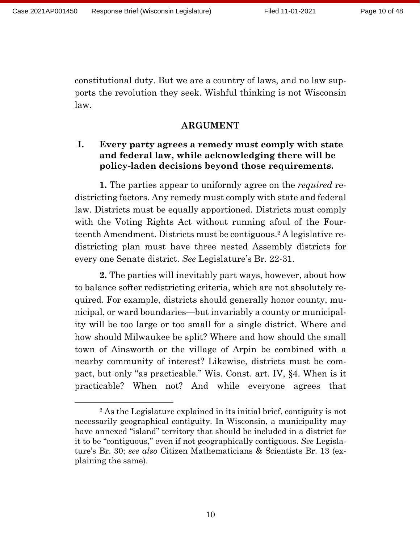constitutional duty. But we are a country of laws, and no law supports the revolution they seek. Wishful thinking is not Wisconsin law.

#### **ARGUMENT**

### **I. Every party agrees a remedy must comply with state and federal law, while acknowledging there will be policy-laden decisions beyond those requirements.**

**1.** The parties appear to uniformly agree on the *required* redistricting factors. Any remedy must comply with state and federal law. Districts must be equally apportioned. Districts must comply with the Voting Rights Act without running afoul of the Fourteenth Amendment. Districts must be contiguous.<sup>2</sup> A legislative redistricting plan must have three nested Assembly districts for every one Senate district. *See* Legislature's Br. 22-31.

**2.** The parties will inevitably part ways, however, about how to balance softer redistricting criteria, which are not absolutely required. For example, districts should generally honor county, municipal, or ward boundaries—but invariably a county or municipality will be too large or too small for a single district. Where and how should Milwaukee be split? Where and how should the small town of Ainsworth or the village of Arpin be combined with a nearby community of interest? Likewise, districts must be compact, but only "as practicable." Wis. Const. art. IV, §4. When is it practicable? When not? And while everyone agrees that

<sup>2</sup> As the Legislature explained in its initial brief, contiguity is not necessarily geographical contiguity. In Wisconsin, a municipality may have annexed "island" territory that should be included in a district for it to be "contiguous," even if not geographically contiguous. *See* Legislature's Br. 30; *see also* Citizen Mathematicians & Scientists Br. 13 (explaining the same).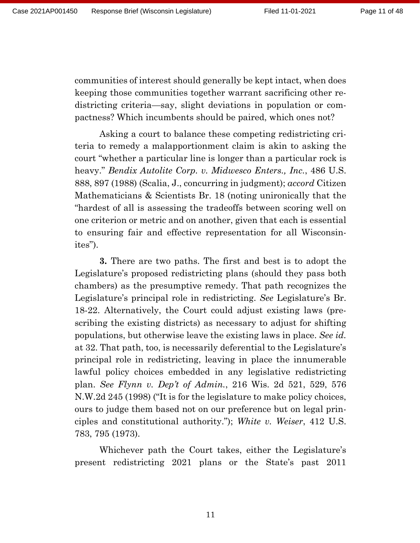communities of interest should generally be kept intact, when does keeping those communities together warrant sacrificing other redistricting criteria—say, slight deviations in population or compactness? Which incumbents should be paired, which ones not?

Asking a court to balance these competing redistricting criteria to remedy a malapportionment claim is akin to asking the court "whether a particular line is longer than a particular rock is heavy." *Bendix Autolite Corp. v. Midwesco Enters., Inc.*, 486 U.S. 888, 897 (1988) (Scalia, J., concurring in judgment); *accord* Citizen Mathematicians & Scientists Br. 18 (noting unironically that the "hardest of all is assessing the tradeoffs between scoring well on one criterion or metric and on another, given that each is essential to ensuring fair and effective representation for all Wisconsinites").

**3.** There are two paths. The first and best is to adopt the Legislature's proposed redistricting plans (should they pass both chambers) as the presumptive remedy. That path recognizes the Legislature's principal role in redistricting. *See* Legislature's Br. 18-22. Alternatively, the Court could adjust existing laws (prescribing the existing districts) as necessary to adjust for shifting populations, but otherwise leave the existing laws in place. *See id.*  at 32. That path, too, is necessarily deferential to the Legislature's principal role in redistricting, leaving in place the innumerable lawful policy choices embedded in any legislative redistricting plan. *See Flynn v. Dep't of Admin.*, 216 Wis. 2d 521, 529, 576 N.W.2d 245 (1998) ("It is for the legislature to make policy choices, ours to judge them based not on our preference but on legal principles and constitutional authority."); *White v. Weiser*, 412 U.S. 783, 795 (1973).

Whichever path the Court takes, either the Legislature's present redistricting 2021 plans or the State's past 2011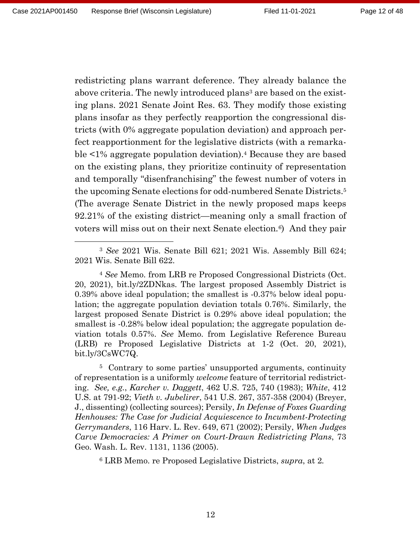redistricting plans warrant deference. They already balance the above criteria. The newly introduced plans<sup>3</sup> are based on the existing plans. 2021 Senate Joint Res. 63. They modify those existing plans insofar as they perfectly reapportion the congressional districts (with 0% aggregate population deviation) and approach perfect reapportionment for the legislative districts (with a remarkable <1% aggregate population deviation).<sup>4</sup> Because they are based on the existing plans, they prioritize continuity of representation and temporally "disenfranchising" the fewest number of voters in the upcoming Senate elections for odd-numbered Senate Districts.<sup>5</sup> (The average Senate District in the newly proposed maps keeps 92.21% of the existing district—meaning only a small fraction of voters will miss out on their next Senate election*.*6) And they pair

<sup>5</sup> Contrary to some parties' unsupported arguments, continuity of representation is a uniformly *welcome* feature of territorial redistricting. *See, e.g.*, *Karcher v. Daggett*, 462 U.S. 725, 740 (1983); *White*, 412 U.S. at 791-92; *Vieth v. Jubelirer*, 541 U.S. 267, 357-358 (2004) (Breyer, J., dissenting) (collecting sources); Persily, *In Defense of Foxes Guarding Henhouses: The Case for Judicial Acquiescence to Incumbent-Protecting Gerrymanders*, 116 Harv. L. Rev. 649, 671 (2002); Persily, *When Judges Carve Democracies: A Primer on Court-Drawn Redistricting Plans*, 73 Geo. Wash. L. Rev. 1131, 1136 (2005).

<sup>6</sup> LRB Memo. re Proposed Legislative Districts, *supra*, at 2*.*

<sup>3</sup> *See* 2021 Wis. Senate Bill 621; 2021 Wis. Assembly Bill 624; 2021 Wis. Senate Bill 622.

<sup>4</sup> *See* Memo. from LRB re Proposed Congressional Districts (Oct. 20, 2021), bit.ly/2ZDNkas. The largest proposed Assembly District is 0.39% above ideal population; the smallest is -0.37% below ideal population; the aggregate population deviation totals 0.76%. Similarly, the largest proposed Senate District is 0.29% above ideal population; the smallest is -0.28% below ideal population; the aggregate population deviation totals 0.57%. *See* Memo. from Legislative Reference Bureau (LRB) re Proposed Legislative Districts at 1-2 (Oct. 20, 2021), bit.ly/3CsWC7Q.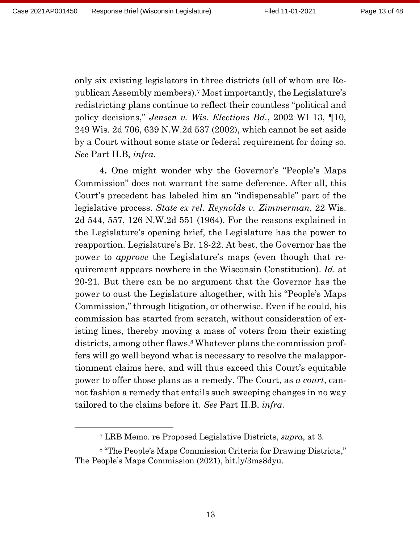only six existing legislators in three districts (all of whom are Republican Assembly members).<sup>7</sup> Most importantly, the Legislature's redistricting plans continue to reflect their countless "political and policy decisions," *Jensen v. Wis. Elections Bd.*, 2002 WI 13, ¶10, 249 Wis. 2d 706, 639 N.W.2d 537 (2002), which cannot be set aside by a Court without some state or federal requirement for doing so. *See* Part II.B, *infra.*

**4.** One might wonder why the Governor's "People's Maps Commission" does not warrant the same deference. After all, this Court's precedent has labeled him an "indispensable" part of the legislative process. *State ex rel. Reynolds v. Zimmerman*, 22 Wis. 2d 544, 557, 126 N.W.2d 551 (1964). For the reasons explained in the Legislature's opening brief, the Legislature has the power to reapportion. Legislature's Br. 18-22. At best, the Governor has the power to *approve* the Legislature's maps (even though that requirement appears nowhere in the Wisconsin Constitution). *Id.* at 20-21. But there can be no argument that the Governor has the power to oust the Legislature altogether, with his "People's Maps Commission," through litigation, or otherwise. Even if he could, his commission has started from scratch, without consideration of existing lines, thereby moving a mass of voters from their existing districts, among other flaws.<sup>8</sup> Whatever plans the commission proffers will go well beyond what is necessary to resolve the malapportionment claims here, and will thus exceed this Court's equitable power to offer those plans as a remedy. The Court, as *a court*, cannot fashion a remedy that entails such sweeping changes in no way tailored to the claims before it. *See* Part II.B, *infra.*

<sup>7</sup> LRB Memo. re Proposed Legislative Districts, *supra*, at 3*.*

<sup>8</sup> "The People's Maps Commission Criteria for Drawing Districts," The People's Maps Commission (2021), bit.ly/3ms8dyu.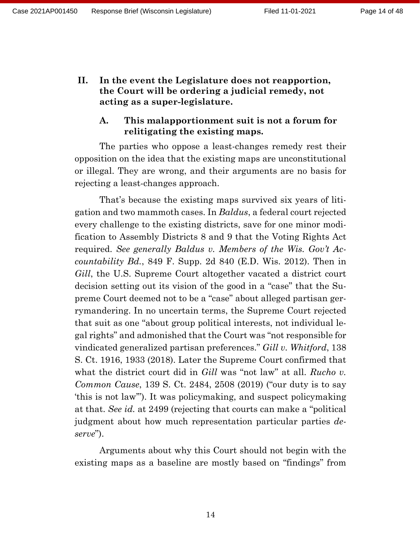**II. In the event the Legislature does not reapportion, the Court will be ordering a judicial remedy, not acting as a super-legislature.**

### **A. This malapportionment suit is not a forum for relitigating the existing maps.**

The parties who oppose a least-changes remedy rest their opposition on the idea that the existing maps are unconstitutional or illegal. They are wrong, and their arguments are no basis for rejecting a least-changes approach.

That's because the existing maps survived six years of litigation and two mammoth cases. In *Baldus*, a federal court rejected every challenge to the existing districts, save for one minor modification to Assembly Districts 8 and 9 that the Voting Rights Act required. *See generally Baldus v. Members of the Wis. Gov't Accountability Bd.*, 849 F. Supp. 2d 840 (E.D. Wis. 2012). Then in *Gill*, the U.S. Supreme Court altogether vacated a district court decision setting out its vision of the good in a "case" that the Supreme Court deemed not to be a "case" about alleged partisan gerrymandering. In no uncertain terms, the Supreme Court rejected that suit as one "about group political interests, not individual legal rights" and admonished that the Court was "not responsible for vindicated generalized partisan preferences." *Gill v. Whitford*, 138 S. Ct. 1916, 1933 (2018). Later the Supreme Court confirmed that what the district court did in *Gill* was "not law" at all. *Rucho v. Common Cause*, 139 S. Ct. 2484, 2508 (2019) ("our duty is to say 'this is not law'"). It was policymaking, and suspect policymaking at that. *See id.* at 2499 (rejecting that courts can make a "political judgment about how much representation particular parties *deserve*").

Arguments about why this Court should not begin with the existing maps as a baseline are mostly based on "findings" from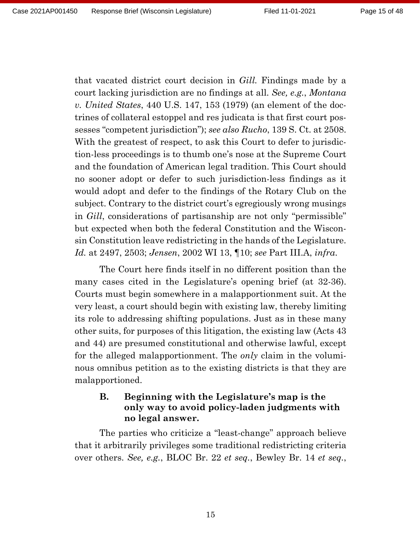that vacated district court decision in *Gill.* Findings made by a court lacking jurisdiction are no findings at all. *See, e.g.*, *Montana v. United States*, 440 U.S. 147, 153 (1979) (an element of the doctrines of collateral estoppel and res judicata is that first court possesses "competent jurisdiction"); *see also Rucho*, 139 S. Ct. at 2508. With the greatest of respect, to ask this Court to defer to jurisdiction-less proceedings is to thumb one's nose at the Supreme Court and the foundation of American legal tradition. This Court should no sooner adopt or defer to such jurisdiction-less findings as it would adopt and defer to the findings of the Rotary Club on the subject. Contrary to the district court's egregiously wrong musings in *Gill*, considerations of partisanship are not only "permissible" but expected when both the federal Constitution and the Wisconsin Constitution leave redistricting in the hands of the Legislature. *Id.* at 2497, 2503; *Jensen*, 2002 WI 13, ¶10; *see* Part III.A, *infra*.

The Court here finds itself in no different position than the many cases cited in the Legislature's opening brief (at 32-36). Courts must begin somewhere in a malapportionment suit. At the very least, a court should begin with existing law, thereby limiting its role to addressing shifting populations. Just as in these many other suits, for purposes of this litigation, the existing law (Acts 43 and 44) are presumed constitutional and otherwise lawful, except for the alleged malapportionment. The *only* claim in the voluminous omnibus petition as to the existing districts is that they are malapportioned.

### **B. Beginning with the Legislature's map is the only way to avoid policy-laden judgments with no legal answer.**

The parties who criticize a "least-change" approach believe that it arbitrarily privileges some traditional redistricting criteria over others. *See, e.g.*, BLOC Br. 22 *et seq.*, Bewley Br. 14 *et seq.*,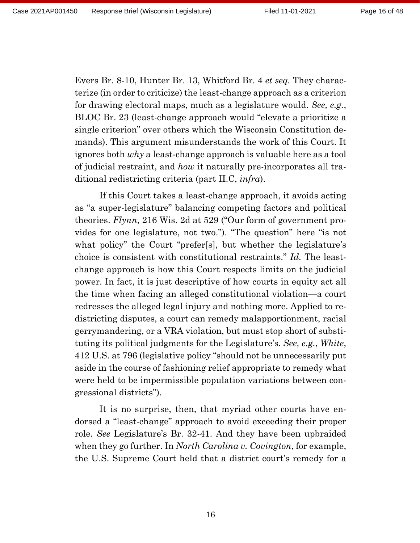Evers Br. 8-10, Hunter Br. 13, Whitford Br. 4 *et seq.* They characterize (in order to criticize) the least-change approach as a criterion for drawing electoral maps, much as a legislature would. *See, e.g.*, BLOC Br. 23 (least-change approach would "elevate a prioritize a single criterion" over others which the Wisconsin Constitution demands). This argument misunderstands the work of this Court. It ignores both *why* a least-change approach is valuable here as a tool of judicial restraint, and *how* it naturally pre-incorporates all traditional redistricting criteria (part II.C, *infra*).

If this Court takes a least-change approach, it avoids acting as "a super-legislature" balancing competing factors and political theories. *Flynn*, 216 Wis. 2d at 529 ("Our form of government provides for one legislature, not two."). "The question" here "is not what policy" the Court "prefer[s], but whether the legislature's choice is consistent with constitutional restraints." *Id.* The leastchange approach is how this Court respects limits on the judicial power. In fact, it is just descriptive of how courts in equity act all the time when facing an alleged constitutional violation—a court redresses the alleged legal injury and nothing more. Applied to redistricting disputes, a court can remedy malapportionment, racial gerrymandering, or a VRA violation, but must stop short of substituting its political judgments for the Legislature's. *See, e.g.*, *White*, 412 U.S. at 796 (legislative policy "should not be unnecessarily put aside in the course of fashioning relief appropriate to remedy what were held to be impermissible population variations between congressional districts").

It is no surprise, then, that myriad other courts have endorsed a "least-change" approach to avoid exceeding their proper role. *See* Legislature's Br. 32-41. And they have been upbraided when they go further. In *North Carolina v. Covington*, for example, the U.S. Supreme Court held that a district court's remedy for a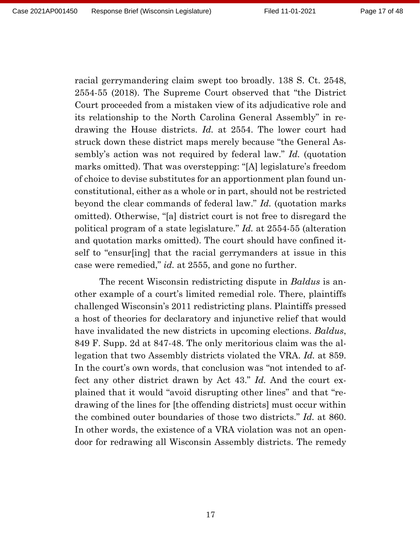racial gerrymandering claim swept too broadly. 138 S. Ct. 2548, 2554-55 (2018). The Supreme Court observed that "the District Court proceeded from a mistaken view of its adjudicative role and its relationship to the North Carolina General Assembly" in redrawing the House districts. *Id.* at 2554. The lower court had struck down these district maps merely because "the General Assembly's action was not required by federal law." *Id.* (quotation marks omitted). That was overstepping: "[A] legislature's freedom of choice to devise substitutes for an apportionment plan found unconstitutional, either as a whole or in part, should not be restricted beyond the clear commands of federal law." *Id.* (quotation marks omitted). Otherwise, "[a] district court is not free to disregard the political program of a state legislature." *Id.* at 2554-55 (alteration and quotation marks omitted). The court should have confined itself to "ensur[ing] that the racial gerrymanders at issue in this case were remedied," *id.* at 2555, and gone no further.

The recent Wisconsin redistricting dispute in *Baldus* is another example of a court's limited remedial role. There, plaintiffs challenged Wisconsin's 2011 redistricting plans. Plaintiffs pressed a host of theories for declaratory and injunctive relief that would have invalidated the new districts in upcoming elections. *Baldus*, 849 F. Supp. 2d at 847-48. The only meritorious claim was the allegation that two Assembly districts violated the VRA. *Id.* at 859. In the court's own words, that conclusion was "not intended to affect any other district drawn by Act 43." *Id.* And the court explained that it would "avoid disrupting other lines" and that "redrawing of the lines for [the offending districts] must occur within the combined outer boundaries of those two districts." *Id.* at 860. In other words, the existence of a VRA violation was not an opendoor for redrawing all Wisconsin Assembly districts. The remedy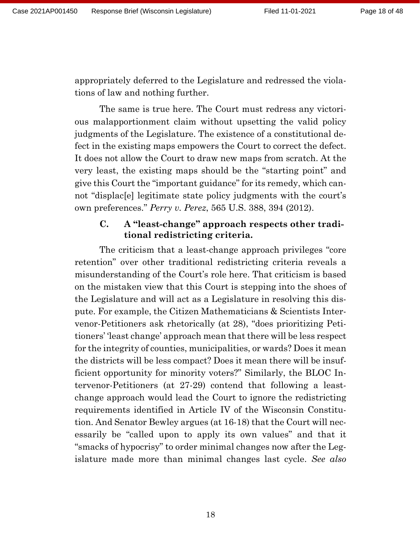appropriately deferred to the Legislature and redressed the violations of law and nothing further.

The same is true here. The Court must redress any victorious malapportionment claim without upsetting the valid policy judgments of the Legislature. The existence of a constitutional defect in the existing maps empowers the Court to correct the defect. It does not allow the Court to draw new maps from scratch. At the very least, the existing maps should be the "starting point" and give this Court the "important guidance" for its remedy, which cannot "displac[e] legitimate state policy judgments with the court's own preferences." *Perry v. Perez*, 565 U.S. 388, 394 (2012).

## **C. A "least-change" approach respects other traditional redistricting criteria.**

The criticism that a least-change approach privileges "core retention" over other traditional redistricting criteria reveals a misunderstanding of the Court's role here. That criticism is based on the mistaken view that this Court is stepping into the shoes of the Legislature and will act as a Legislature in resolving this dispute. For example, the Citizen Mathematicians & Scientists Intervenor-Petitioners ask rhetorically (at 28), "does prioritizing Petitioners' 'least change' approach mean that there will be less respect for the integrity of counties, municipalities, or wards? Does it mean the districts will be less compact? Does it mean there will be insufficient opportunity for minority voters?" Similarly, the BLOC Intervenor-Petitioners (at 27-29) contend that following a leastchange approach would lead the Court to ignore the redistricting requirements identified in Article IV of the Wisconsin Constitution. And Senator Bewley argues (at 16-18) that the Court will necessarily be "called upon to apply its own values" and that it "smacks of hypocrisy" to order minimal changes now after the Legislature made more than minimal changes last cycle. *See also*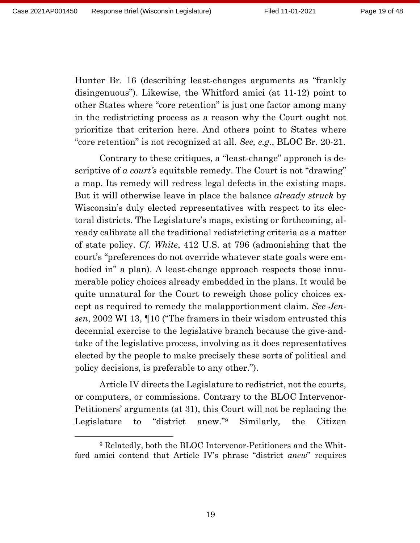Hunter Br. 16 (describing least-changes arguments as "frankly disingenuous"). Likewise, the Whitford amici (at 11-12) point to other States where "core retention" is just one factor among many in the redistricting process as a reason why the Court ought not prioritize that criterion here. And others point to States where "core retention" is not recognized at all. *See, e.g.*, BLOC Br. 20-21.

Contrary to these critiques, a "least-change" approach is descriptive of *a court's* equitable remedy. The Court is not "drawing" a map. Its remedy will redress legal defects in the existing maps. But it will otherwise leave in place the balance *already struck* by Wisconsin's duly elected representatives with respect to its electoral districts. The Legislature's maps, existing or forthcoming, already calibrate all the traditional redistricting criteria as a matter of state policy. *Cf. White*, 412 U.S. at 796 (admonishing that the court's "preferences do not override whatever state goals were embodied in" a plan). A least-change approach respects those innumerable policy choices already embedded in the plans. It would be quite unnatural for the Court to reweigh those policy choices except as required to remedy the malapportionment claim. *See Jensen*, 2002 WI 13, ¶10 ("The framers in their wisdom entrusted this decennial exercise to the legislative branch because the give-andtake of the legislative process, involving as it does representatives elected by the people to make precisely these sorts of political and policy decisions, is preferable to any other.").

Article IV directs the Legislature to redistrict, not the courts, or computers, or commissions. Contrary to the BLOC Intervenor-Petitioners' arguments (at 31), this Court will not be replacing the Legislature to "district anew."<sup>9</sup> Similarly, the Citizen

<sup>9</sup> Relatedly, both the BLOC Intervenor-Petitioners and the Whitford amici contend that Article IV's phrase "district *anew*" requires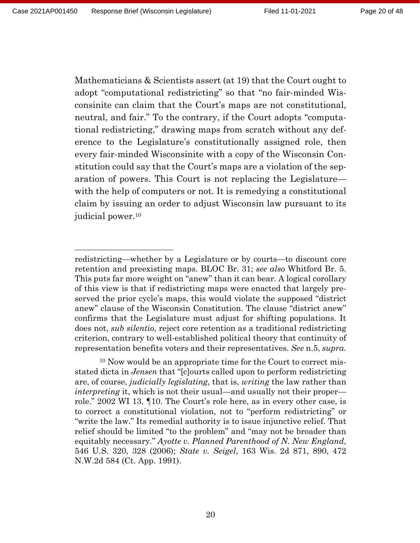Mathematicians & Scientists assert (at 19) that the Court ought to adopt "computational redistricting" so that "no fair-minded Wisconsinite can claim that the Court's maps are not constitutional, neutral, and fair." To the contrary, if the Court adopts "computational redistricting," drawing maps from scratch without any deference to the Legislature's constitutionally assigned role, then every fair-minded Wisconsinite with a copy of the Wisconsin Constitution could say that the Court's maps are a violation of the separation of powers. This Court is not replacing the Legislature with the help of computers or not. It is remedying a constitutional claim by issuing an order to adjust Wisconsin law pursuant to its judicial power.<sup>10</sup>

redistricting—whether by a Legislature or by courts—to discount core retention and preexisting maps. BLOC Br. 31; *see also* Whitford Br. 5. This puts far more weight on "anew" than it can bear. A logical corollary of this view is that if redistricting maps were enacted that largely preserved the prior cycle's maps, this would violate the supposed "district anew" clause of the Wisconsin Constitution. The clause "district anew" confirms that the Legislature must adjust for shifting populations. It does not, *sub silentio*, reject core retention as a traditional redistricting criterion, contrary to well-established political theory that continuity of representation benefits voters and their representatives. *See* n.5, *supra.*

<sup>10</sup> Now would be an appropriate time for the Court to correct misstated dicta in *Jensen* that "[c]ourts called upon to perform redistricting are, of course, *judicially legislating*, that is, *writing* the law rather than *interpreting* it, which is not their usual—and usually not their proper role." 2002 WI 13, ¶10. The Court's role here, as in every other case, is to correct a constitutional violation, not to "perform redistricting" or "write the law." Its remedial authority is to issue injunctive relief. That relief should be limited "to the problem" and "may not be broader than equitably necessary." *Ayotte v. Planned Parenthood of N. New England*, 546 U.S. 320, 328 (2006); *State v. Seigel*, 163 Wis. 2d 871, 890, 472 N.W.2d 584 (Ct. App. 1991).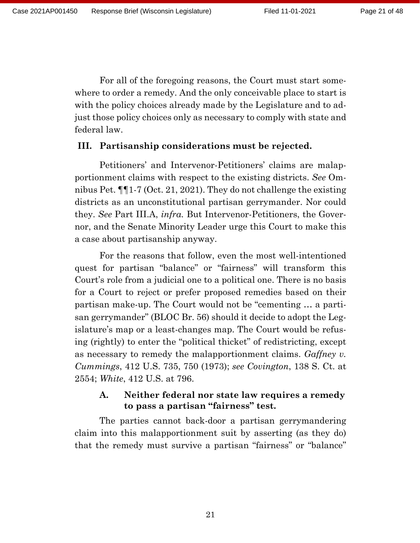For all of the foregoing reasons, the Court must start somewhere to order a remedy. And the only conceivable place to start is with the policy choices already made by the Legislature and to adjust those policy choices only as necessary to comply with state and federal law.

#### **III. Partisanship considerations must be rejected.**

Petitioners' and Intervenor-Petitioners' claims are malapportionment claims with respect to the existing districts. *See* Omnibus Pet. ¶¶1-7 (Oct. 21, 2021). They do not challenge the existing districts as an unconstitutional partisan gerrymander. Nor could they. *See* Part III.A, *infra.* But Intervenor-Petitioners, the Governor, and the Senate Minority Leader urge this Court to make this a case about partisanship anyway.

For the reasons that follow, even the most well-intentioned quest for partisan "balance" or "fairness" will transform this Court's role from a judicial one to a political one. There is no basis for a Court to reject or prefer proposed remedies based on their partisan make-up. The Court would not be "cementing … a partisan gerrymander" (BLOC Br. 56) should it decide to adopt the Legislature's map or a least-changes map. The Court would be refusing (rightly) to enter the "political thicket" of redistricting, except as necessary to remedy the malapportionment claims. *Gaffney v. Cummings*, 412 U.S. 735, 750 (1973); *see Covington*, 138 S. Ct. at 2554; *White*, 412 U.S. at 796.

#### **A. Neither federal nor state law requires a remedy to pass a partisan "fairness" test.**

The parties cannot back-door a partisan gerrymandering claim into this malapportionment suit by asserting (as they do) that the remedy must survive a partisan "fairness" or "balance"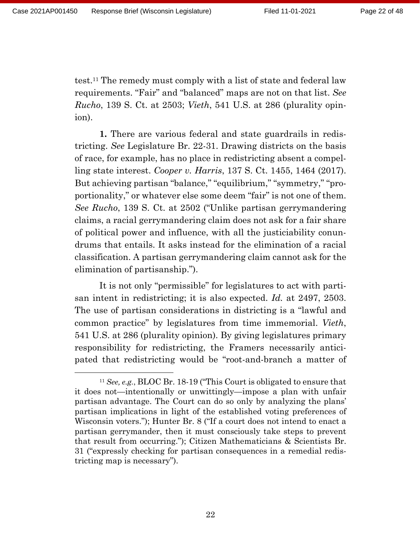test.<sup>11</sup> The remedy must comply with a list of state and federal law requirements. "Fair" and "balanced" maps are not on that list. *See Rucho*, 139 S. Ct. at 2503; *Vieth*, 541 U.S. at 286 (plurality opinion).

**1.** There are various federal and state guardrails in redistricting. *See* Legislature Br. 22-31. Drawing districts on the basis of race, for example, has no place in redistricting absent a compelling state interest. *Cooper v. Harris*, 137 S. Ct. 1455, 1464 (2017). But achieving partisan "balance," "equilibrium," "symmetry," "proportionality," or whatever else some deem "fair" is not one of them. *See Rucho*, 139 S. Ct. at 2502 ("Unlike partisan gerrymandering claims, a racial gerrymandering claim does not ask for a fair share of political power and influence, with all the justiciability conundrums that entails. It asks instead for the elimination of a racial classification. A partisan gerrymandering claim cannot ask for the elimination of partisanship.").

It is not only "permissible" for legislatures to act with partisan intent in redistricting; it is also expected. *Id.* at 2497, 2503. The use of partisan considerations in districting is a "lawful and common practice" by legislatures from time immemorial. *Vieth*, 541 U.S. at 286 (plurality opinion). By giving legislatures primary responsibility for redistricting, the Framers necessarily anticipated that redistricting would be "root-and-branch a matter of

<sup>11</sup> *See, e.g.*, BLOC Br. 18-19 ("This Court is obligated to ensure that it does not—intentionally or unwittingly—impose a plan with unfair partisan advantage. The Court can do so only by analyzing the plans' partisan implications in light of the established voting preferences of Wisconsin voters."); Hunter Br. 8 ("If a court does not intend to enact a partisan gerrymander, then it must consciously take steps to prevent that result from occurring."); Citizen Mathematicians & Scientists Br. 31 ("expressly checking for partisan consequences in a remedial redistricting map is necessary").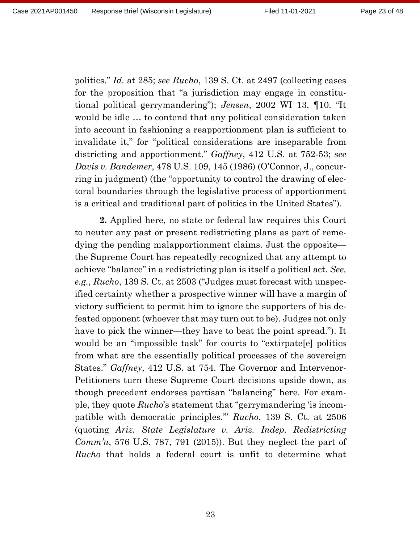Page 23 of 48

politics." *Id.* at 285; *see Rucho*, 139 S. Ct. at 2497 (collecting cases for the proposition that "a jurisdiction may engage in constitutional political gerrymandering"); *Jensen*, 2002 WI 13, ¶10. "It would be idle … to contend that any political consideration taken into account in fashioning a reapportionment plan is sufficient to invalidate it," for "political considerations are inseparable from districting and apportionment." *Gaffney*, 412 U.S. at 752-53; *see Davis v. Bandemer*, 478 U.S. 109, 145 (1986) (O'Connor, J., concurring in judgment) (the "opportunity to control the drawing of electoral boundaries through the legislative process of apportionment is a critical and traditional part of politics in the United States").

**2.** Applied here, no state or federal law requires this Court to neuter any past or present redistricting plans as part of remedying the pending malapportionment claims. Just the opposite the Supreme Court has repeatedly recognized that any attempt to achieve "balance" in a redistricting plan is itself a political act. *See, e.g.*, *Rucho*, 139 S. Ct. at 2503 ("Judges must forecast with unspecified certainty whether a prospective winner will have a margin of victory sufficient to permit him to ignore the supporters of his defeated opponent (whoever that may turn out to be). Judges not only have to pick the winner—they have to beat the point spread."). It would be an "impossible task" for courts to "extirpate[e] politics from what are the essentially political processes of the sovereign States." *Gaffney*, 412 U.S. at 754. The Governor and Intervenor-Petitioners turn these Supreme Court decisions upside down, as though precedent endorses partisan "balancing" here. For example, they quote *Rucho*'s statement that "gerrymandering 'is incompatible with democratic principles.'" *Rucho*, 139 S. Ct. at 2506 (quoting *Ariz. State Legislature v. Ariz. Indep. Redistricting Comm'n*, 576 U.S. 787, 791 (2015)). But they neglect the part of *Rucho* that holds a federal court is unfit to determine what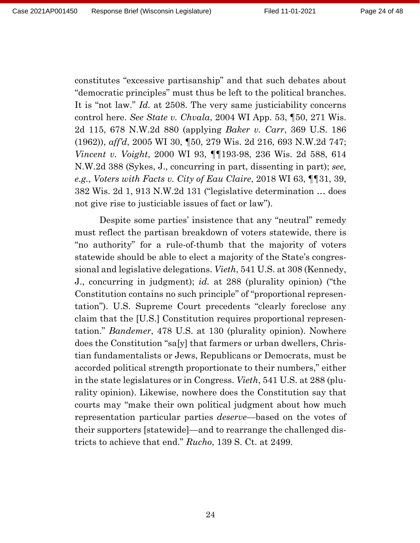constitutes "excessive partisanship" and that such debates about "democratic principles" must thus be left to the political branches. It is "not law." *Id.* at 2508. The very same justiciability concerns control here. *See State v. Chvala*, 2004 WI App. 53, ¶50, 271 Wis. 2d 115, 678 N.W.2d 880 (applying *Baker v. Carr*, 369 U.S. 186 (1962)), *aff'd*, 2005 WI 30, ¶50, 279 Wis. 2d 216, 693 N.W.2d 747; *Vincent v. Voight*, 2000 WI 93, ¶¶193-98, 236 Wis. 2d 588, 614 N.W.2d 388 (Sykes, J., concurring in part, dissenting in part); *see, e.g.*, *Voters with Facts v. City of Eau Claire*, 2018 WI 63, ¶¶31, 39, 382 Wis. 2d 1, 913 N.W.2d 131 ("legislative determination … does not give rise to justiciable issues of fact or law").

Despite some parties' insistence that any "neutral" remedy must reflect the partisan breakdown of voters statewide, there is "no authority" for a rule-of-thumb that the majority of voters statewide should be able to elect a majority of the State's congressional and legislative delegations. *Vieth*, 541 U.S. at 308 (Kennedy, J., concurring in judgment); *id.* at 288 (plurality opinion) ("the Constitution contains no such principle" of "proportional representation"). U.S. Supreme Court precedents "clearly foreclose any claim that the [U.S.] Constitution requires proportional representation." *Bandemer*, 478 U.S. at 130 (plurality opinion). Nowhere does the Constitution "sa[y] that farmers or urban dwellers, Christian fundamentalists or Jews, Republicans or Democrats, must be accorded political strength proportionate to their numbers," either in the state legislatures or in Congress. *Vieth*, 541 U.S. at 288 (plurality opinion). Likewise, nowhere does the Constitution say that courts may "make their own political judgment about how much representation particular parties *deserve*—based on the votes of their supporters [statewide]—and to rearrange the challenged districts to achieve that end." *Rucho*, 139 S. Ct. at 2499.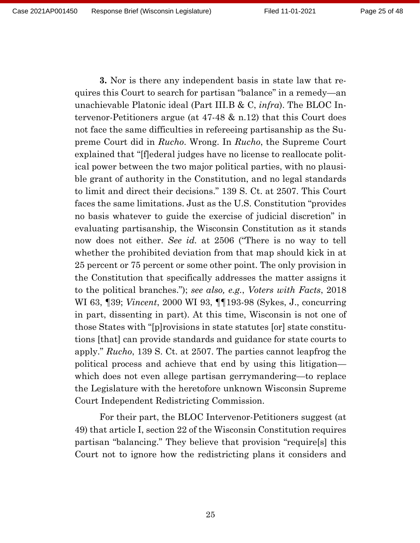**3.** Nor is there any independent basis in state law that requires this Court to search for partisan "balance" in a remedy—an unachievable Platonic ideal (Part III.B & C, *infra*). The BLOC Intervenor-Petitioners argue (at 47-48 & n.12) that this Court does not face the same difficulties in refereeing partisanship as the Supreme Court did in *Rucho*. Wrong. In *Rucho*, the Supreme Court explained that "[f]ederal judges have no license to reallocate political power between the two major political parties, with no plausible grant of authority in the Constitution, and no legal standards to limit and direct their decisions." 139 S. Ct. at 2507. This Court faces the same limitations. Just as the U.S. Constitution "provides no basis whatever to guide the exercise of judicial discretion" in evaluating partisanship, the Wisconsin Constitution as it stands now does not either. *See id.* at 2506 ("There is no way to tell whether the prohibited deviation from that map should kick in at 25 percent or 75 percent or some other point. The only provision in the Constitution that specifically addresses the matter assigns it to the political branches."); *see also, e.g.*, *Voters with Facts*, 2018 WI 63, ¶39; *Vincent*, 2000 WI 93, ¶¶193-98 (Sykes, J., concurring in part, dissenting in part). At this time, Wisconsin is not one of those States with "[p]rovisions in state statutes [or] state constitutions [that] can provide standards and guidance for state courts to apply." *Rucho*, 139 S. Ct. at 2507. The parties cannot leapfrog the political process and achieve that end by using this litigation which does not even allege partisan gerrymandering—to replace the Legislature with the heretofore unknown Wisconsin Supreme Court Independent Redistricting Commission.

For their part, the BLOC Intervenor-Petitioners suggest (at 49) that article I, section 22 of the Wisconsin Constitution requires partisan "balancing." They believe that provision "require[s] this Court not to ignore how the redistricting plans it considers and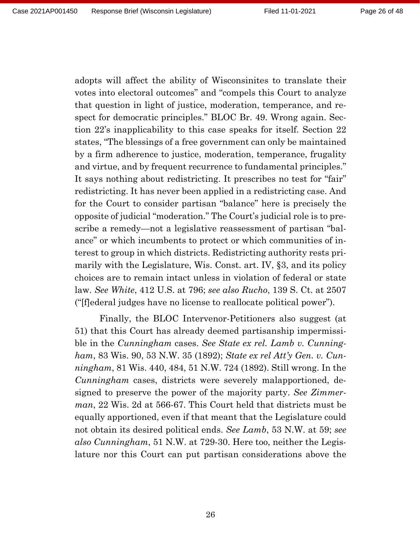adopts will affect the ability of Wisconsinites to translate their votes into electoral outcomes" and "compels this Court to analyze that question in light of justice, moderation, temperance, and respect for democratic principles." BLOC Br. 49. Wrong again. Section 22's inapplicability to this case speaks for itself. Section 22 states, "The blessings of a free government can only be maintained by a firm adherence to justice, moderation, temperance, frugality and virtue, and by frequent recurrence to fundamental principles." It says nothing about redistricting. It prescribes no test for "fair" redistricting. It has never been applied in a redistricting case. And for the Court to consider partisan "balance" here is precisely the opposite of judicial "moderation." The Court's judicial role is to prescribe a remedy—not a legislative reassessment of partisan "balance" or which incumbents to protect or which communities of interest to group in which districts. Redistricting authority rests primarily with the Legislature, Wis. Const. art. IV, §3, and its policy choices are to remain intact unless in violation of federal or state law. *See White*, 412 U.S. at 796; *see also Rucho*, 139 S. Ct. at 2507 ("[f]ederal judges have no license to reallocate political power").

Finally, the BLOC Intervenor-Petitioners also suggest (at 51) that this Court has already deemed partisanship impermissible in the *Cunningham* cases. *See State ex rel. Lamb v. Cunningham*, 83 Wis. 90, 53 N.W. 35 (1892); *State ex rel Att'y Gen. v. Cunningham*, 81 Wis. 440, 484, 51 N.W. 724 (1892). Still wrong. In the *Cunningham* cases, districts were severely malapportioned, designed to preserve the power of the majority party. *See Zimmerman*, 22 Wis. 2d at 566-67. This Court held that districts must be equally apportioned, even if that meant that the Legislature could not obtain its desired political ends. *See Lamb*, 53 N.W. at 59; *see also Cunningham*, 51 N.W. at 729-30. Here too, neither the Legislature nor this Court can put partisan considerations above the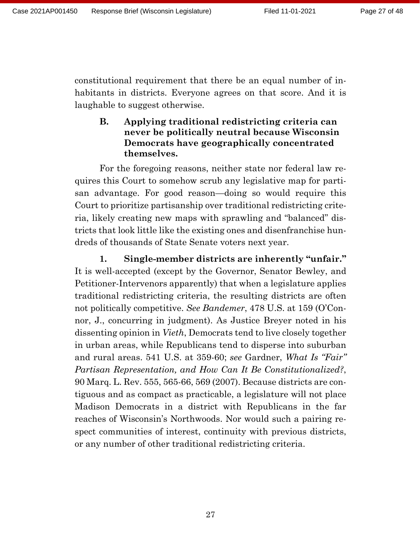constitutional requirement that there be an equal number of inhabitants in districts. Everyone agrees on that score. And it is laughable to suggest otherwise.

## **B. Applying traditional redistricting criteria can never be politically neutral because Wisconsin Democrats have geographically concentrated themselves.**

For the foregoing reasons, neither state nor federal law requires this Court to somehow scrub any legislative map for partisan advantage. For good reason—doing so would require this Court to prioritize partisanship over traditional redistricting criteria, likely creating new maps with sprawling and "balanced" districts that look little like the existing ones and disenfranchise hundreds of thousands of State Senate voters next year.

**1. Single-member districts are inherently "unfair."**  It is well-accepted (except by the Governor, Senator Bewley, and Petitioner-Intervenors apparently) that when a legislature applies traditional redistricting criteria, the resulting districts are often not politically competitive. *See Bandemer*, 478 U.S. at 159 (O'Connor, J., concurring in judgment). As Justice Breyer noted in his dissenting opinion in *Vieth*, Democrats tend to live closely together in urban areas, while Republicans tend to disperse into suburban and rural areas. 541 U.S. at 359-60; *see* Gardner, *What Is "Fair" Partisan Representation, and How Can It Be Constitutionalized?*, 90 Marq. L. Rev. 555, 565-66, 569 (2007). Because districts are contiguous and as compact as practicable, a legislature will not place Madison Democrats in a district with Republicans in the far reaches of Wisconsin's Northwoods. Nor would such a pairing respect communities of interest, continuity with previous districts, or any number of other traditional redistricting criteria.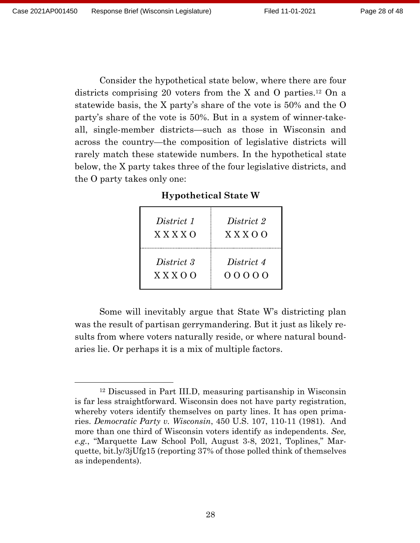Consider the hypothetical state below, where there are four districts comprising 20 voters from the X and O parties.<sup>12</sup> On a statewide basis, the X party's share of the vote is 50% and the O party's share of the vote is 50%. But in a system of winner-takeall, single-member districts—such as those in Wisconsin and across the country—the composition of legislative districts will rarely match these statewide numbers. In the hypothetical state below, the X party takes three of the four legislative districts, and the O party takes only one:

**Hypothetical State W**

| District 1  | District 2  |
|-------------|-------------|
| $X$ X X X O | $X$ X X O O |
| District 3  | District 4  |
| $X$ X X O O | 00000       |

Some will inevitably argue that State W's districting plan was the result of partisan gerrymandering. But it just as likely results from where voters naturally reside, or where natural boundaries lie. Or perhaps it is a mix of multiple factors.

<sup>12</sup> Discussed in Part III.D, measuring partisanship in Wisconsin is far less straightforward. Wisconsin does not have party registration, whereby voters identify themselves on party lines. It has open primaries. *Democratic Party v. Wisconsin*, 450 U.S. 107, 110-11 (1981). And more than one third of Wisconsin voters identify as independents. *See, e.g.*, "Marquette Law School Poll, August 3-8, 2021, Toplines," Marquette, bit.ly/3jUfg15 (reporting 37% of those polled think of themselves as independents).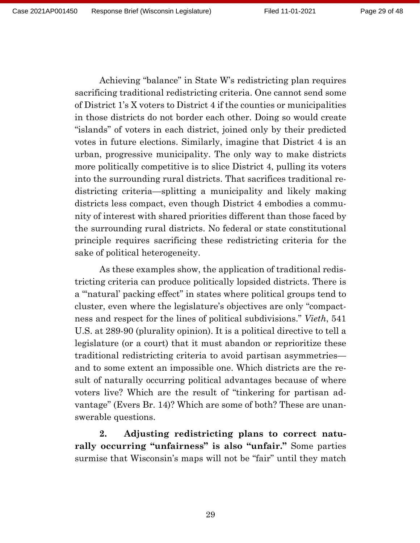Achieving "balance" in State W's redistricting plan requires sacrificing traditional redistricting criteria. One cannot send some of District 1's X voters to District 4 if the counties or municipalities in those districts do not border each other. Doing so would create "islands" of voters in each district, joined only by their predicted votes in future elections. Similarly, imagine that District 4 is an urban, progressive municipality. The only way to make districts more politically competitive is to slice District 4, pulling its voters into the surrounding rural districts. That sacrifices traditional redistricting criteria—splitting a municipality and likely making districts less compact, even though District 4 embodies a community of interest with shared priorities different than those faced by the surrounding rural districts. No federal or state constitutional principle requires sacrificing these redistricting criteria for the sake of political heterogeneity.

As these examples show, the application of traditional redistricting criteria can produce politically lopsided districts. There is a "'natural' packing effect" in states where political groups tend to cluster, even where the legislature's objectives are only "compactness and respect for the lines of political subdivisions." *Vieth*, 541 U.S. at 289-90 (plurality opinion). It is a political directive to tell a legislature (or a court) that it must abandon or reprioritize these traditional redistricting criteria to avoid partisan asymmetries and to some extent an impossible one. Which districts are the result of naturally occurring political advantages because of where voters live? Which are the result of "tinkering for partisan advantage" (Evers Br. 14)? Which are some of both? These are unanswerable questions.

**2. Adjusting redistricting plans to correct naturally occurring "unfairness" is also "unfair."** Some parties surmise that Wisconsin's maps will not be "fair" until they match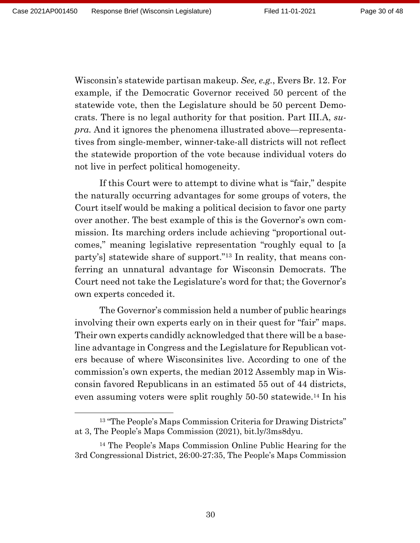Wisconsin's statewide partisan makeup. *See, e.g.*, Evers Br. 12. For example, if the Democratic Governor received 50 percent of the statewide vote, then the Legislature should be 50 percent Democrats. There is no legal authority for that position. Part III.A, *supra.* And it ignores the phenomena illustrated above—representatives from single-member, winner-take-all districts will not reflect the statewide proportion of the vote because individual voters do not live in perfect political homogeneity.

If this Court were to attempt to divine what is "fair," despite the naturally occurring advantages for some groups of voters, the Court itself would be making a political decision to favor one party over another. The best example of this is the Governor's own commission. Its marching orders include achieving "proportional outcomes," meaning legislative representation "roughly equal to [a party's] statewide share of support."<sup>13</sup> In reality, that means conferring an unnatural advantage for Wisconsin Democrats. The Court need not take the Legislature's word for that; the Governor's own experts conceded it.

The Governor's commission held a number of public hearings involving their own experts early on in their quest for "fair" maps. Their own experts candidly acknowledged that there will be a baseline advantage in Congress and the Legislature for Republican voters because of where Wisconsinites live. According to one of the commission's own experts, the median 2012 Assembly map in Wisconsin favored Republicans in an estimated 55 out of 44 districts, even assuming voters were split roughly 50-50 statewide.<sup>14</sup> In his

<sup>13</sup> "The People's Maps Commission Criteria for Drawing Districts" at 3, The People's Maps Commission (2021), bit.ly/3ms8dyu.

<sup>14</sup> The People's Maps Commission Online Public Hearing for the 3rd Congressional District, 26:00-27:35, The People's Maps Commission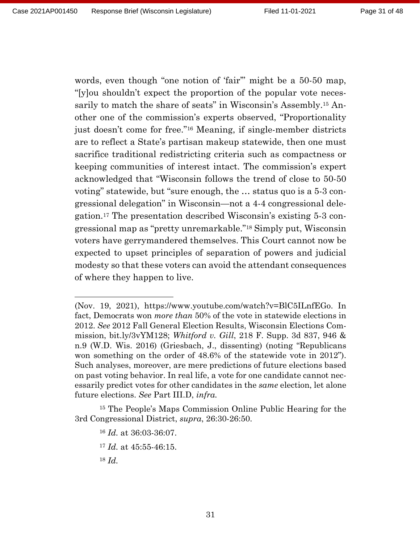words, even though "one notion of 'fair" might be a 50-50 map, "[y]ou shouldn't expect the proportion of the popular vote necessarily to match the share of seats" in Wisconsin's Assembly.<sup>15</sup> Another one of the commission's experts observed, "Proportionality just doesn't come for free."<sup>16</sup> Meaning, if single-member districts are to reflect a State's partisan makeup statewide, then one must sacrifice traditional redistricting criteria such as compactness or keeping communities of interest intact. The commission's expert acknowledged that "Wisconsin follows the trend of close to 50-50 voting" statewide, but "sure enough, the … status quo is a 5-3 congressional delegation" in Wisconsin—not a 4-4 congressional delegation.<sup>17</sup> The presentation described Wisconsin's existing 5-3 congressional map as "pretty unremarkable."<sup>18</sup> Simply put, Wisconsin voters have gerrymandered themselves. This Court cannot now be expected to upset principles of separation of powers and judicial modesty so that these voters can avoid the attendant consequences of where they happen to live.

<sup>15</sup> The People's Maps Commission Online Public Hearing for the 3rd Congressional District, *supra*, 26:30-26:50.

<sup>16</sup> *Id.* at 36:03-36:07. <sup>17</sup> *Id.* at 45:55-46:15.

<sup>18</sup> *Id.* 

<sup>(</sup>Nov. 19, 2021), https://www.youtube.com/watch?v=BlC5ILnfEGo. In fact, Democrats won *more than* 50% of the vote in statewide elections in 2012. *See* 2012 Fall General Election Results, Wisconsin Elections Commission, bit.ly/3vYM128; *Whitford v. Gill*, 218 F. Supp. 3d 837, 946 & n.9 (W.D. Wis. 2016) (Griesbach, J., dissenting) (noting "Republicans won something on the order of 48.6% of the statewide vote in 2012"). Such analyses, moreover, are mere predictions of future elections based on past voting behavior. In real life, a vote for one candidate cannot necessarily predict votes for other candidates in the *same* election, let alone future elections. *See* Part III.D, *infra.*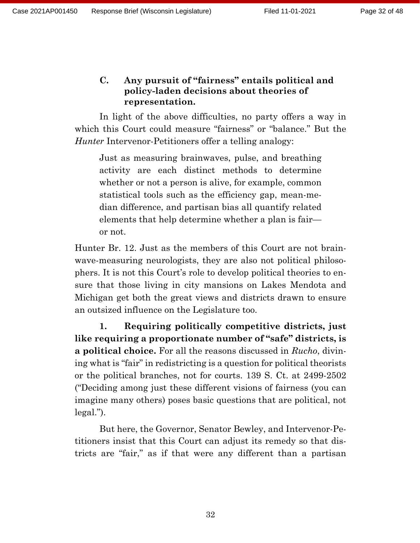## **C. Any pursuit of "fairness" entails political and policy-laden decisions about theories of representation.**

In light of the above difficulties, no party offers a way in which this Court could measure "fairness" or "balance." But the *Hunter* Intervenor-Petitioners offer a telling analogy:

Just as measuring brainwaves, pulse, and breathing activity are each distinct methods to determine whether or not a person is alive, for example, common statistical tools such as the efficiency gap, mean-median difference, and partisan bias all quantify related elements that help determine whether a plan is fair or not.

Hunter Br. 12. Just as the members of this Court are not brainwave-measuring neurologists, they are also not political philosophers. It is not this Court's role to develop political theories to ensure that those living in city mansions on Lakes Mendota and Michigan get both the great views and districts drawn to ensure an outsized influence on the Legislature too.

**1. Requiring politically competitive districts, just like requiring a proportionate number of "safe" districts, is a political choice.** For all the reasons discussed in *Rucho*, divining what is "fair" in redistricting is a question for political theorists or the political branches, not for courts. 139 S. Ct. at 2499-2502 ("Deciding among just these different visions of fairness (you can imagine many others) poses basic questions that are political, not legal.").

But here, the Governor, Senator Bewley, and Intervenor-Petitioners insist that this Court can adjust its remedy so that districts are "fair," as if that were any different than a partisan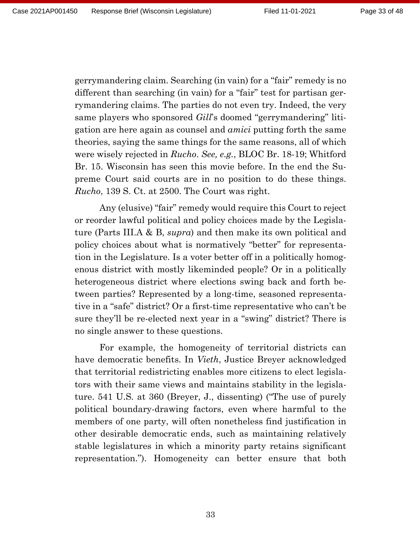gerrymandering claim. Searching (in vain) for a "fair" remedy is no different than searching (in vain) for a "fair" test for partisan gerrymandering claims. The parties do not even try. Indeed, the very same players who sponsored *Gill*'s doomed "gerrymandering" litigation are here again as counsel and *amici* putting forth the same theories, saying the same things for the same reasons, all of which were wisely rejected in *Rucho*. *See, e.g.*, BLOC Br. 18-19; Whitford Br. 15. Wisconsin has seen this movie before. In the end the Supreme Court said courts are in no position to do these things. *Rucho*, 139 S. Ct. at 2500. The Court was right.

Any (elusive) "fair" remedy would require this Court to reject or reorder lawful political and policy choices made by the Legislature (Parts III.A & B, *supra*) and then make its own political and policy choices about what is normatively "better" for representation in the Legislature. Is a voter better off in a politically homogenous district with mostly likeminded people? Or in a politically heterogeneous district where elections swing back and forth between parties? Represented by a long-time, seasoned representative in a "safe" district? Or a first-time representative who can't be sure they'll be re-elected next year in a "swing" district? There is no single answer to these questions.

For example, the homogeneity of territorial districts can have democratic benefits. In *Vieth*, Justice Breyer acknowledged that territorial redistricting enables more citizens to elect legislators with their same views and maintains stability in the legislature. 541 U.S*.* at 360 (Breyer, J., dissenting) ("The use of purely political boundary-drawing factors, even where harmful to the members of one party, will often nonetheless find justification in other desirable democratic ends, such as maintaining relatively stable legislatures in which a minority party retains significant representation."). Homogeneity can better ensure that both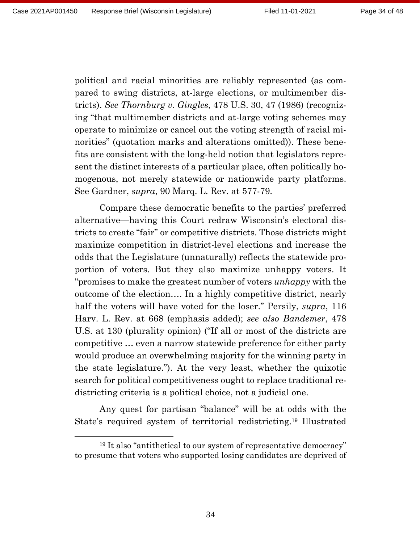political and racial minorities are reliably represented (as compared to swing districts, at-large elections, or multimember districts). *See Thornburg v. Gingles*, 478 U.S. 30, 47 (1986) (recognizing "that multimember districts and at-large voting schemes may operate to minimize or cancel out the voting strength of racial minorities" (quotation marks and alterations omitted)). These benefits are consistent with the long-held notion that legislators represent the distinct interests of a particular place, often politically homogenous, not merely statewide or nationwide party platforms. See Gardner, *supra*, 90 Marq. L. Rev. at 577-79.

Compare these democratic benefits to the parties' preferred alternative—having this Court redraw Wisconsin's electoral districts to create "fair" or competitive districts. Those districts might maximize competition in district-level elections and increase the odds that the Legislature (unnaturally) reflects the statewide proportion of voters. But they also maximize unhappy voters. It "promises to make the greatest number of voters *unhappy* with the outcome of the election…. In a highly competitive district, nearly half the voters will have voted for the loser." Persily, *supra*, 116 Harv. L. Rev. at 668 (emphasis added); *see also Bandemer*, 478 U.S. at 130 (plurality opinion) ("If all or most of the districts are competitive … even a narrow statewide preference for either party would produce an overwhelming majority for the winning party in the state legislature."). At the very least, whether the quixotic search for political competitiveness ought to replace traditional redistricting criteria is a political choice, not a judicial one.

Any quest for partisan "balance" will be at odds with the State's required system of territorial redistricting.<sup>19</sup> Illustrated

<sup>19</sup> It also "antithetical to our system of representative democracy" to presume that voters who supported losing candidates are deprived of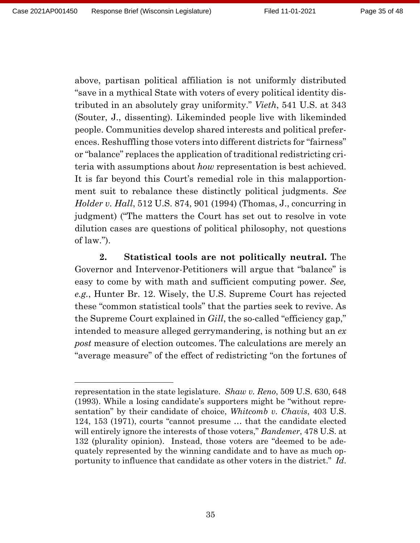above, partisan political affiliation is not uniformly distributed "save in a mythical State with voters of every political identity distributed in an absolutely gray uniformity." *Vieth*, 541 U.S. at 343 (Souter, J., dissenting). Likeminded people live with likeminded people. Communities develop shared interests and political preferences. Reshuffling those voters into different districts for "fairness" or "balance" replaces the application of traditional redistricting criteria with assumptions about *how* representation is best achieved. It is far beyond this Court's remedial role in this malapportionment suit to rebalance these distinctly political judgments. *See Holder v. Hall*, 512 U.S. 874, 901 (1994) (Thomas, J., concurring in judgment) ("The matters the Court has set out to resolve in vote dilution cases are questions of political philosophy, not questions of law.").

**2. Statistical tools are not politically neutral.** The Governor and Intervenor-Petitioners will argue that "balance" is easy to come by with math and sufficient computing power. *See, e.g.*, Hunter Br. 12. Wisely, the U.S. Supreme Court has rejected these "common statistical tools" that the parties seek to revive. As the Supreme Court explained in *Gill*, the so-called "efficiency gap," intended to measure alleged gerrymandering, is nothing but an *ex post* measure of election outcomes. The calculations are merely an "average measure" of the effect of redistricting "on the fortunes of

representation in the state legislature. *Shaw v. Reno*, 509 U.S. 630, 648 (1993). While a losing candidate's supporters might be "without representation" by their candidate of choice, *Whitcomb v. Chavis*, 403 U.S. 124, 153 (1971), courts "cannot presume … that the candidate elected will entirely ignore the interests of those voters," *Bandemer*, 478 U.S. at 132 (plurality opinion). Instead, those voters are "deemed to be adequately represented by the winning candidate and to have as much opportunity to influence that candidate as other voters in the district." *Id*.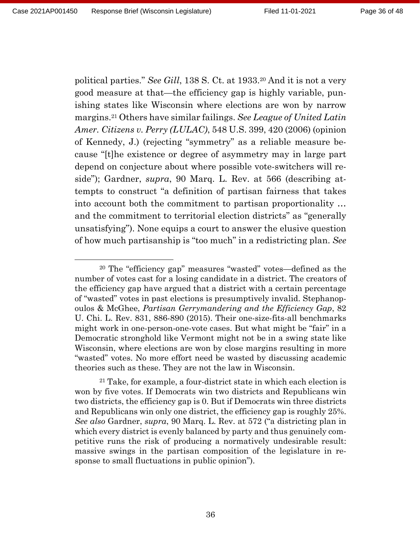political parties." *See Gill*, 138 S. Ct. at 1933.<sup>20</sup> And it is not a very good measure at that—the efficiency gap is highly variable, punishing states like Wisconsin where elections are won by narrow margins.<sup>21</sup> Others have similar failings. *See League of United Latin Amer. Citizens v. Perry (LULAC)*, 548 U.S. 399, 420 (2006) (opinion of Kennedy, J.) (rejecting "symmetry" as a reliable measure because "[t]he existence or degree of asymmetry may in large part depend on conjecture about where possible vote-switchers will reside"); Gardner, *supra*, 90 Marq. L. Rev. at 566 (describing attempts to construct "a definition of partisan fairness that takes into account both the commitment to partisan proportionality … and the commitment to territorial election districts" as "generally unsatisfying"). None equips a court to answer the elusive question of how much partisanship is "too much" in a redistricting plan. *See* 

<sup>20</sup> The "efficiency gap" measures "wasted" votes—defined as the number of votes cast for a losing candidate in a district. The creators of the efficiency gap have argued that a district with a certain percentage of "wasted" votes in past elections is presumptively invalid. Stephanopoulos & McGhee, *Partisan Gerrymandering and the Efficiency Gap*, 82 U. Chi. L. Rev. 831, 886-890 (2015). Their one-size-fits-all benchmarks might work in one-person-one-vote cases. But what might be "fair" in a Democratic stronghold like Vermont might not be in a swing state like Wisconsin, where elections are won by close margins resulting in more "wasted" votes. No more effort need be wasted by discussing academic theories such as these. They are not the law in Wisconsin.

 $21$  Take, for example, a four-district state in which each election is won by five votes. If Democrats win two districts and Republicans win two districts, the efficiency gap is 0. But if Democrats win three districts and Republicans win only one district, the efficiency gap is roughly 25%. *See also* Gardner, *supra*, 90 Marq. L. Rev. at 572 ("a districting plan in which every district is evenly balanced by party and thus genuinely competitive runs the risk of producing a normatively undesirable result: massive swings in the partisan composition of the legislature in response to small fluctuations in public opinion").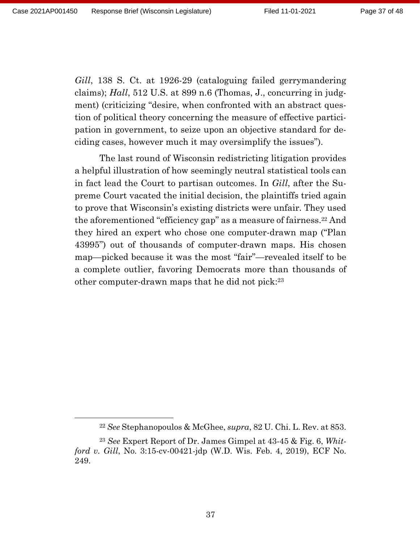*Gill*, 138 S. Ct. at 1926-29 (cataloguing failed gerrymandering claims); *Hall*, 512 U.S. at 899 n.6 (Thomas, J., concurring in judgment) (criticizing "desire, when confronted with an abstract question of political theory concerning the measure of effective participation in government, to seize upon an objective standard for deciding cases, however much it may oversimplify the issues").

The last round of Wisconsin redistricting litigation provides a helpful illustration of how seemingly neutral statistical tools can in fact lead the Court to partisan outcomes. In *Gill*, after the Supreme Court vacated the initial decision, the plaintiffs tried again to prove that Wisconsin's existing districts were unfair. They used the aforementioned "efficiency gap" as a measure of fairness.<sup>22</sup> And they hired an expert who chose one computer-drawn map ("Plan 43995") out of thousands of computer-drawn maps. His chosen map—picked because it was the most "fair"—revealed itself to be a complete outlier, favoring Democrats more than thousands of other computer-drawn maps that he did not pick:<sup>23</sup>

<sup>22</sup> *See* Stephanopoulos & McGhee, *supra*, 82 U. Chi. L. Rev. at 853.

<sup>23</sup> *See* Expert Report of Dr. James Gimpel at 43-45 & Fig. 6, *Whitford v. Gill*, No. 3:15-cv-00421-jdp (W.D. Wis. Feb. 4, 2019), ECF No. 249.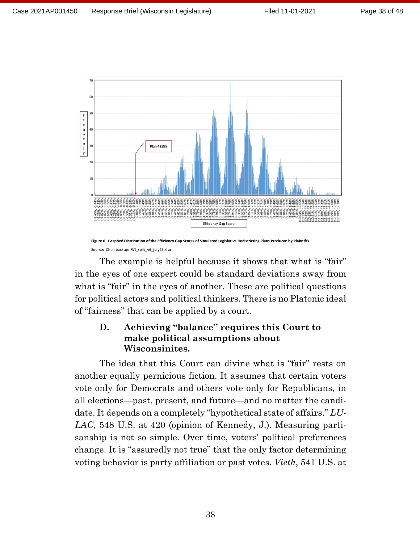

Figure 6. Graphed Distribution of the Efficiency Gap Scores of Simulated Legislative Redistricting Plans Produced by Plaintiffs Source: Chen backup: WI\_split\_v6\_july25.xlsx

The example is helpful because it shows that what is "fair" in the eyes of one expert could be standard deviations away from what is "fair" in the eyes of another. These are political questions for political actors and political thinkers. There is no Platonic ideal of "fairness" that can be applied by a court.

## **D. Achieving "balance" requires this Court to make political assumptions about Wisconsinites.**

The idea that this Court can divine what is "fair" rests on another equally pernicious fiction. It assumes that certain voters vote only for Democrats and others vote only for Republicans, in all elections—past, present, and future—and no matter the candidate. It depends on a completely "hypothetical state of affairs." *LU-LAC*, 548 U.S. at 420 (opinion of Kennedy, J.). Measuring partisanship is not so simple. Over time, voters' political preferences change. It is "assuredly not true" that the only factor determining voting behavior is party affiliation or past votes. *Vieth*, 541 U.S. at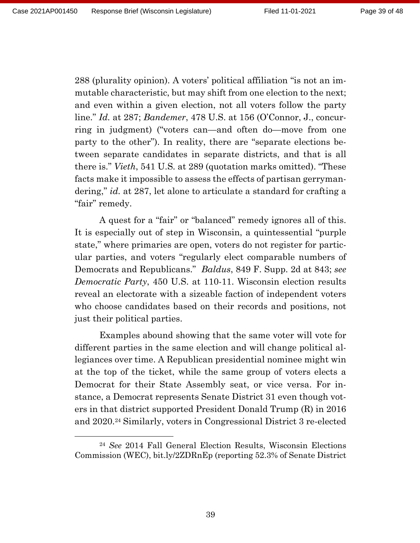288 (plurality opinion). A voters' political affiliation "is not an immutable characteristic, but may shift from one election to the next; and even within a given election, not all voters follow the party line." *Id.* at 287; *Bandemer*, 478 U.S. at 156 (O'Connor, J., concurring in judgment) ("voters can—and often do—move from one party to the other"). In reality, there are "separate elections between separate candidates in separate districts, and that is all there is." *Vieth*, 541 U.S*.* at 289 (quotation marks omitted). "These facts make it impossible to assess the effects of partisan gerrymandering," *id.* at 287, let alone to articulate a standard for crafting a "fair" remedy.

A quest for a "fair" or "balanced" remedy ignores all of this. It is especially out of step in Wisconsin, a quintessential "purple state," where primaries are open, voters do not register for particular parties, and voters "regularly elect comparable numbers of Democrats and Republicans." *Baldus*, 849 F. Supp. 2d at 843; *see Democratic Party*, 450 U.S. at 110-11. Wisconsin election results reveal an electorate with a sizeable faction of independent voters who choose candidates based on their records and positions, not just their political parties.

Examples abound showing that the same voter will vote for different parties in the same election and will change political allegiances over time. A Republican presidential nominee might win at the top of the ticket, while the same group of voters elects a Democrat for their State Assembly seat, or vice versa. For instance, a Democrat represents Senate District 31 even though voters in that district supported President Donald Trump (R) in 2016 and 2020.<sup>24</sup> Similarly, voters in Congressional District 3 re-elected

<sup>24</sup> *See* 2014 Fall General Election Results, Wisconsin Elections Commission (WEC), bit.ly/2ZDRnEp (reporting 52.3% of Senate District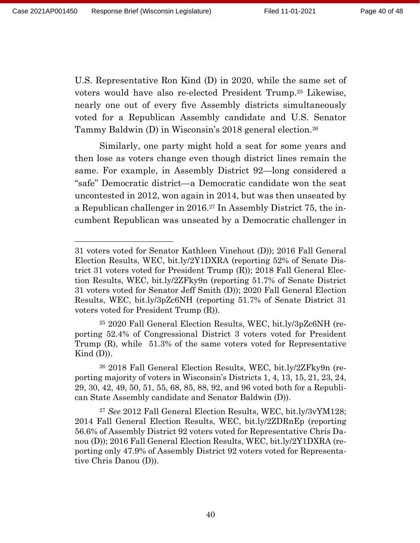U.S. Representative Ron Kind (D) in 2020, while the same set of voters would have also re-elected President Trump.<sup>25</sup> Likewise, nearly one out of every five Assembly districts simultaneously voted for a Republican Assembly candidate and U.S. Senator Tammy Baldwin (D) in Wisconsin's 2018 general election.<sup>26</sup>

Similarly, one party might hold a seat for some years and then lose as voters change even though district lines remain the same. For example, in Assembly District 92—long considered a "safe" Democratic district—a Democratic candidate won the seat uncontested in 2012, won again in 2014, but was then unseated by a Republican challenger in 2016.<sup>27</sup> In Assembly District 75, the incumbent Republican was unseated by a Democratic challenger in

<sup>31</sup> voters voted for Senator Kathleen Vinehout (D)); 2016 Fall General Election Results, WEC, bit.ly/2Y1DXRA (reporting 52% of Senate District 31 voters voted for President Trump (R)); 2018 Fall General Election Results, WEC, bit.ly/2ZFky9n (reporting 51.7% of Senate District 31 voters voted for Senator Jeff Smith (D)); 2020 Fall General Election Results, WEC, bit.ly/3pZc6NH (reporting 51.7% of Senate District 31 voters voted for President Trump (R)).

<sup>25</sup> 2020 Fall General Election Results, WEC, bit.ly/3pZc6NH (reporting 52.4% of Congressional District 3 voters voted for President Trump (R), while 51.3% of the same voters voted for Representative Kind  $(D)$ ).

<sup>26</sup> 2018 Fall General Election Results, WEC, bit.ly/2ZFky9n (reporting majority of voters in Wisconsin's Districts 1, 4, 13, 15, 21, 23, 24, 29, 30, 42, 49, 50, 51, 55, 68, 85, 88, 92, and 96 voted both for a Republican State Assembly candidate and Senator Baldwin (D)).

<sup>27</sup> *See* 2012 Fall General Election Results, WEC, bit.ly/3vYM128; 2014 Fall General Election Results, WEC, bit.ly/2ZDRnEp (reporting 56.6% of Assembly District 92 voters voted for Representative Chris Danou (D)); 2016 Fall General Election Results, WEC, bit.ly/2Y1DXRA (reporting only 47.9% of Assembly District 92 voters voted for Representative Chris Danou (D)).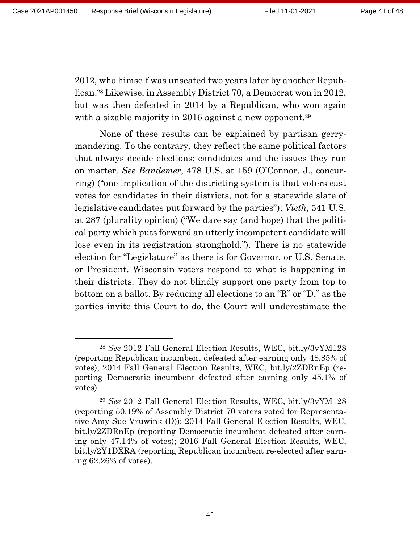2012, who himself was unseated two years later by another Republican.<sup>28</sup> Likewise, in Assembly District 70, a Democrat won in 2012, but was then defeated in 2014 by a Republican, who won again with a sizable majority in 2016 against a new opponent.<sup>29</sup>

None of these results can be explained by partisan gerrymandering. To the contrary, they reflect the same political factors that always decide elections: candidates and the issues they run on matter. *See Bandemer*, 478 U.S. at 159 (O'Connor, J., concurring) ("one implication of the districting system is that voters cast votes for candidates in their districts, not for a statewide slate of legislative candidates put forward by the parties"); *Vieth*, 541 U.S. at 287 (plurality opinion) ("We dare say (and hope) that the political party which puts forward an utterly incompetent candidate will lose even in its registration stronghold."). There is no statewide election for "Legislature" as there is for Governor, or U.S. Senate, or President. Wisconsin voters respond to what is happening in their districts. They do not blindly support one party from top to bottom on a ballot. By reducing all elections to an "R" or "D," as the parties invite this Court to do, the Court will underestimate the

<sup>28</sup> *See* 2012 Fall General Election Results, WEC, bit.ly/3vYM128 (reporting Republican incumbent defeated after earning only 48.85% of votes); 2014 Fall General Election Results, WEC, bit.ly/2ZDRnEp (reporting Democratic incumbent defeated after earning only 45.1% of votes).

<sup>29</sup> *See* 2012 Fall General Election Results, WEC, bit.ly/3vYM128 (reporting 50.19% of Assembly District 70 voters voted for Representative Amy Sue Vruwink (D)); 2014 Fall General Election Results, WEC, bit.ly/2ZDRnEp (reporting Democratic incumbent defeated after earning only 47.14% of votes); 2016 Fall General Election Results, WEC, bit.ly/2Y1DXRA (reporting Republican incumbent re-elected after earning 62.26% of votes).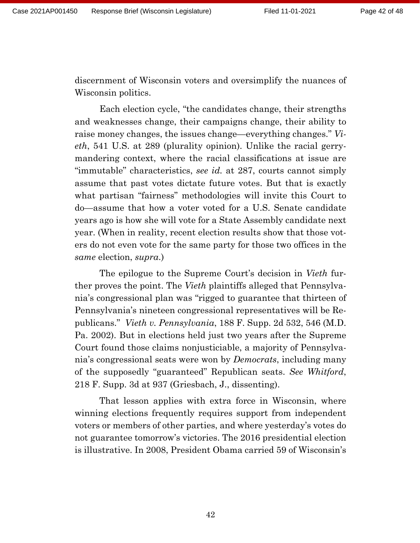discernment of Wisconsin voters and oversimplify the nuances of Wisconsin politics.

Each election cycle, "the candidates change, their strengths and weaknesses change, their campaigns change, their ability to raise money changes, the issues change—everything changes." *Vieth*, 541 U.S. at 289 (plurality opinion). Unlike the racial gerrymandering context, where the racial classifications at issue are "immutable" characteristics, *see id.* at 287, courts cannot simply assume that past votes dictate future votes. But that is exactly what partisan "fairness" methodologies will invite this Court to do—assume that how a voter voted for a U.S. Senate candidate years ago is how she will vote for a State Assembly candidate next year. (When in reality, recent election results show that those voters do not even vote for the same party for those two offices in the *same* election, *supra*.)

The epilogue to the Supreme Court's decision in *Vieth* further proves the point. The *Vieth* plaintiffs alleged that Pennsylvania's congressional plan was "rigged to guarantee that thirteen of Pennsylvania's nineteen congressional representatives will be Republicans." *Vieth v. Pennsylvania*, 188 F. Supp. 2d 532, 546 (M.D. Pa. 2002). But in elections held just two years after the Supreme Court found those claims nonjusticiable, a majority of Pennsylvania's congressional seats were won by *Democrats*, including many of the supposedly "guaranteed" Republican seats. *See Whitford*, 218 F. Supp. 3d at 937 (Griesbach, J., dissenting).

That lesson applies with extra force in Wisconsin, where winning elections frequently requires support from independent voters or members of other parties, and where yesterday's votes do not guarantee tomorrow's victories. The 2016 presidential election is illustrative. In 2008, President Obama carried 59 of Wisconsin's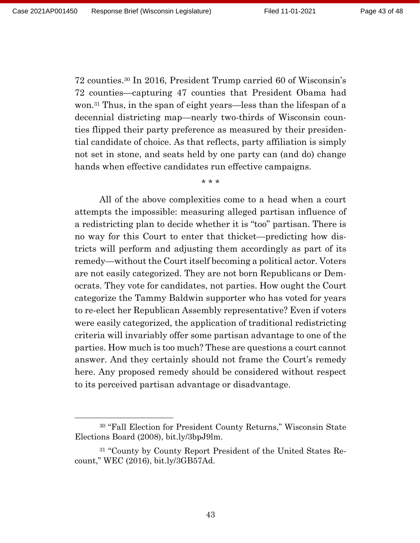72 counties.<sup>30</sup> In 2016, President Trump carried 60 of Wisconsin's 72 counties—capturing 47 counties that President Obama had won.<sup>31</sup> Thus, in the span of eight years—less than the lifespan of a decennial districting map—nearly two-thirds of Wisconsin counties flipped their party preference as measured by their presidential candidate of choice. As that reflects, party affiliation is simply not set in stone, and seats held by one party can (and do) change hands when effective candidates run effective campaigns.

\* \* \*

All of the above complexities come to a head when a court attempts the impossible: measuring alleged partisan influence of a redistricting plan to decide whether it is "too" partisan. There is no way for this Court to enter that thicket—predicting how districts will perform and adjusting them accordingly as part of its remedy—without the Court itself becoming a political actor. Voters are not easily categorized. They are not born Republicans or Democrats. They vote for candidates, not parties. How ought the Court categorize the Tammy Baldwin supporter who has voted for years to re-elect her Republican Assembly representative? Even if voters were easily categorized, the application of traditional redistricting criteria will invariably offer some partisan advantage to one of the parties. How much is too much? These are questions a court cannot answer. And they certainly should not frame the Court's remedy here. Any proposed remedy should be considered without respect to its perceived partisan advantage or disadvantage.

<sup>30</sup> "Fall Election for President County Returns," Wisconsin State Elections Board (2008), bit.ly/3bpJ9lm.

<sup>31</sup> "County by County Report President of the United States Recount," WEC (2016), bit.ly/3GB57Ad.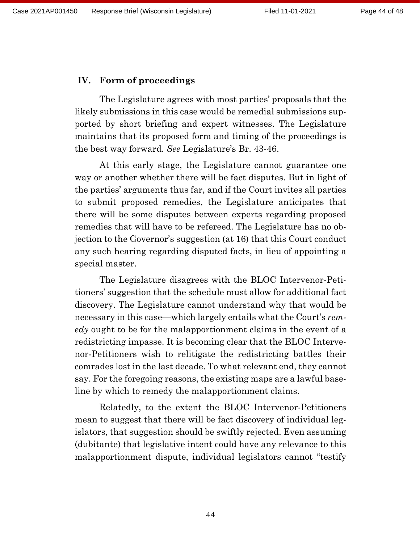## **IV. Form of proceedings**

The Legislature agrees with most parties' proposals that the likely submissions in this case would be remedial submissions supported by short briefing and expert witnesses. The Legislature maintains that its proposed form and timing of the proceedings is the best way forward. *See* Legislature's Br. 43-46.

At this early stage, the Legislature cannot guarantee one way or another whether there will be fact disputes. But in light of the parties' arguments thus far, and if the Court invites all parties to submit proposed remedies, the Legislature anticipates that there will be some disputes between experts regarding proposed remedies that will have to be refereed. The Legislature has no objection to the Governor's suggestion (at 16) that this Court conduct any such hearing regarding disputed facts, in lieu of appointing a special master.

The Legislature disagrees with the BLOC Intervenor-Petitioners' suggestion that the schedule must allow for additional fact discovery. The Legislature cannot understand why that would be necessary in this case—which largely entails what the Court's *remedy* ought to be for the malapportionment claims in the event of a redistricting impasse. It is becoming clear that the BLOC Intervenor-Petitioners wish to relitigate the redistricting battles their comrades lost in the last decade. To what relevant end, they cannot say. For the foregoing reasons, the existing maps are a lawful baseline by which to remedy the malapportionment claims.

Relatedly, to the extent the BLOC Intervenor-Petitioners mean to suggest that there will be fact discovery of individual legislators, that suggestion should be swiftly rejected. Even assuming (dubitante) that legislative intent could have any relevance to this malapportionment dispute, individual legislators cannot "testify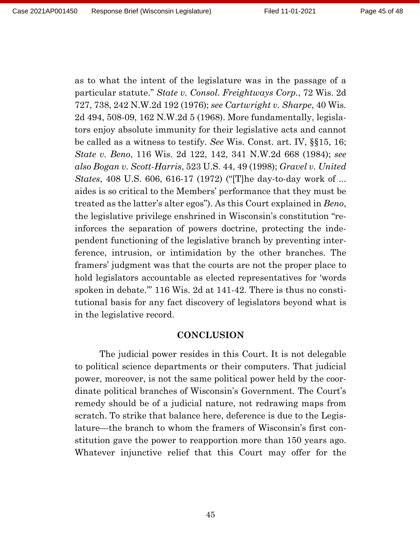as to what the intent of the legislature was in the passage of a particular statute." *State v. Consol. Freightways Corp.*, 72 Wis. 2d 727, 738, 242 N.W.2d 192 (1976); *see Cartwright v. Sharpe*, 40 Wis. 2d 494, 508-09, 162 N.W.2d 5 (1968). More fundamentally, legislators enjoy absolute immunity for their legislative acts and cannot be called as a witness to testify. *See* Wis. Const. art. IV, §§15, 16; *State v. Beno*, 116 Wis. 2d 122, 142, 341 N.W.2d 668 (1984); *see also Bogan v. Scott-Harris*, 523 U.S. 44, 49 (1998); *Gravel v. United States*, 408 U.S. 606, 616-17 (1972) ("[T]he day-to-day work of ... aides is so critical to the Members' performance that they must be treated as the latter's alter egos"). As this Court explained in *Beno*, the legislative privilege enshrined in Wisconsin's constitution "reinforces the separation of powers doctrine, protecting the independent functioning of the legislative branch by preventing interference, intrusion, or intimidation by the other branches. The framers' judgment was that the courts are not the proper place to hold legislators accountable as elected representatives for 'words spoken in debate.'" 116 Wis. 2d at 141-42. There is thus no constitutional basis for any fact discovery of legislators beyond what is in the legislative record.

#### **CONCLUSION**

The judicial power resides in this Court. It is not delegable to political science departments or their computers. That judicial power, moreover, is not the same political power held by the coordinate political branches of Wisconsin's Government. The Court's remedy should be of a judicial nature, not redrawing maps from scratch. To strike that balance here, deference is due to the Legislature—the branch to whom the framers of Wisconsin's first constitution gave the power to reapportion more than 150 years ago. Whatever injunctive relief that this Court may offer for the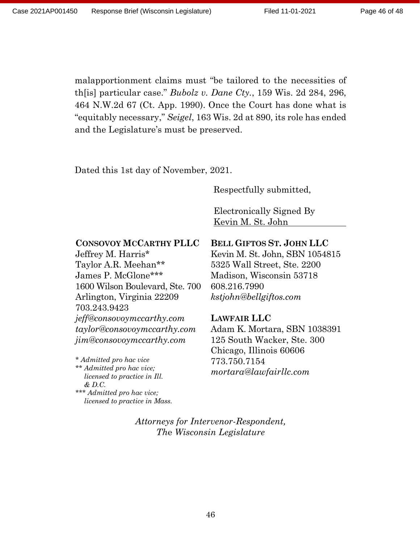malapportionment claims must "be tailored to the necessities of th[is] particular case." *Bubolz v. Dane Cty.*, 159 Wis. 2d 284, 296, 464 N.W.2d 67 (Ct. App. 1990). Once the Court has done what is "equitably necessary," *Seigel*, 163 Wis. 2d at 890, its role has ended and the Legislature's must be preserved.

Dated this 1st day of November, 2021.

Respectfully submitted,

Electronically Signed By Kevin M. St. John

#### **CONSOVOY MCCARTHY PLLC**

Jeffrey M. Harris\* Taylor A.R. Meehan\*\* James P. McGlone\*\*\* 1600 Wilson Boulevard, Ste. 700 Arlington, Virginia 22209 703.243.9423 *jeff@consovoymccarthy.com taylor@consovoymccarthy.com jim@consovoymccarthy.com*

*\* Admitted pro hac vice \*\* Admitted pro hac vice; licensed to practice in Ill. & D.C. \*\*\* Admitted pro hac vice;*

*licensed to practice in Mass.*

# **BELL GIFTOS ST. JOHN LLC**

Kevin M. St. John, SBN 1054815 5325 Wall Street, Ste. 2200 Madison, Wisconsin 53718 608.216.7990 *kstjohn@bellgiftos.com*

#### **LAWFAIR LLC**

Adam K. Mortara, SBN 1038391 125 South Wacker, Ste. 300 Chicago, Illinois 60606 773.750.7154 *mortara@lawfairllc.com*

*Attorneys for Intervenor-Respondent, Th*e *Wisconsin Legislature*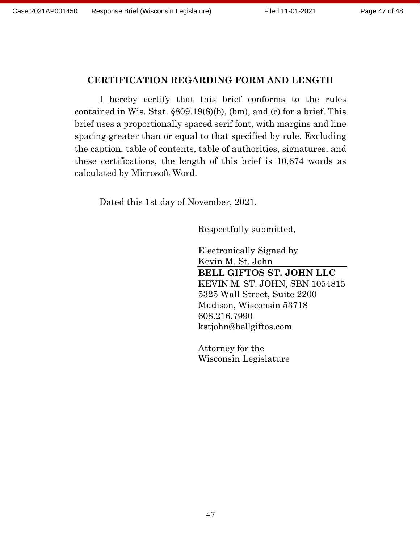### **CERTIFICATION REGARDING FORM AND LENGTH**

I hereby certify that this brief conforms to the rules contained in Wis. Stat. §809.19(8)(b), (bm), and (c) for a brief. This brief uses a proportionally spaced serif font, with margins and line spacing greater than or equal to that specified by rule. Excluding the caption, table of contents, table of authorities, signatures, and these certifications, the length of this brief is 10,674 words as calculated by Microsoft Word.

Dated this 1st day of November, 2021.

Respectfully submitted,

Electronically Signed by Kevin M. St. John **BELL GIFTOS ST. JOHN LLC** KEVIN M. ST. JOHN, SBN 1054815 5325 Wall Street, Suite 2200 Madison, Wisconsin 53718 608.216.7990 kstjohn@bellgiftos.com

Attorney for the Wisconsin Legislature